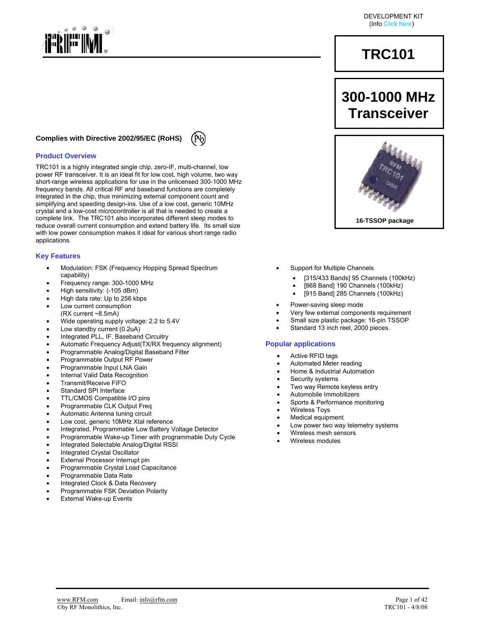

#### **Complies with Directive 2002/95/EC (RoHS)**

#### **Product Overview**

TRC101 is a highly integrated single chip, zero-IF, multi-channel, low power RF transceiver. It is an ideal fit for low cost, high volume, two way short-range wireless applications for use in the unlicensed 300-1000 MHz frequency bands. All critical RF and baseband functions are completely integrated in the chip, thus minimizing external component count and simplifying and speeding design-ins. Use of a low cost, generic 10MHz crystal and a low-cost microcontroller is all that is needed to create a complete link. The TRC101 also incorporates different sleep modes to reduce overall current consumption and extend battery life. Its small size with low power consumption makes it ideal for various short range radio applications.

#### **Key Features**

- Modulation: FSK (Frequency Hopping Spread Spectrum capability)
- Frequency range: 300-1000 MHz
- High sensitivity: (-105 dBm)
- High data rate: Up to 256 kbps
- Low current consumption
- (RX current ~8.5mA)
- Wide operating supply voltage: 2.2 to 5.4V
- Low standby current (0.2uA)
- Integrated PLL, IF, Baseband Circuitry
- Automatic Frequency Adjust(TX/RX frequency alignment)
- Programmable Analog/Digital Baseband Filter
- Programmable Output RF Power
- Programmable Input LNA Gain
- Internal Valid Data Recognition
- Transmit/Receive FIFO
- Standard SPI Interface
- TTL/CMOS Compatible I/O pins
- Programmable CLK Output Freq
- Automatic Antenna tuning circuit
- Low cost, generic 10MHz Xtal reference
- Integrated, Programmable Low Battery Voltage Detector
- Programmable Wake-up Timer with programmable Duty Cycle
- Integrated Selectable Analog/Digital RSSI
- Integrated Crystal Oscillator
- External Processor Interrupt pin
- Programmable Crystal Load Capacitance
- Programmable Data Rate
- Integrated Clock & Data Recovery
- Programmable FSK Deviation Polarity
- **External Wake-up Events**

# **TRC101**

# **300-1000 MHz Transceiver**



- Support for Multiple Channels
	- [315/433 Bands] 95 Channels (100kHz)
	- [868 Band] 190 Channels (100kHz)
	- [915 Band] 285 Channels (100kHz)
- Power-saving sleep mode
- Very few external components requirement
- Small size plastic package: 16-pin TSSOP
- Standard 13 inch reel, 2000 pieces.

#### **Popular applications**

- Active RFID tags
- Automated Meter reading
- Home & Industrial Automation
- Security systems
- Two way Remote keyless entry
- Automobile Immobilizers
- Sports & Performance monitoring
- Wireless Toys
- Medical equipment
- Low power two way telemetry systems
- Wireless mesh sensors
- Wireless modules

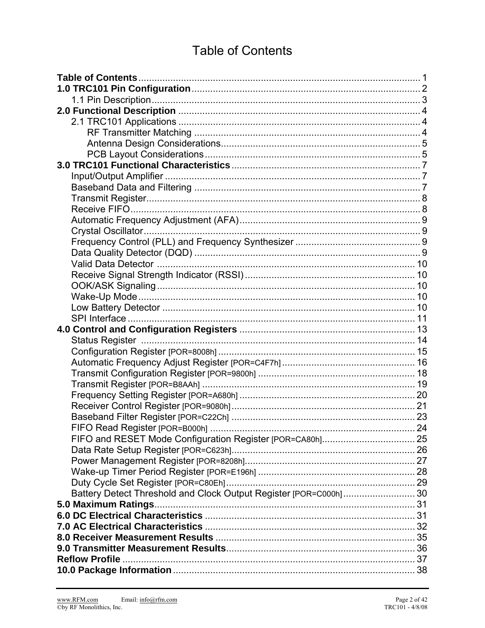# **Table of Contents**

| Battery Detect Threshold and Clock Output Register [POR=C000h] 30 |  |
|-------------------------------------------------------------------|--|
|                                                                   |  |
|                                                                   |  |
|                                                                   |  |
|                                                                   |  |
|                                                                   |  |
|                                                                   |  |
|                                                                   |  |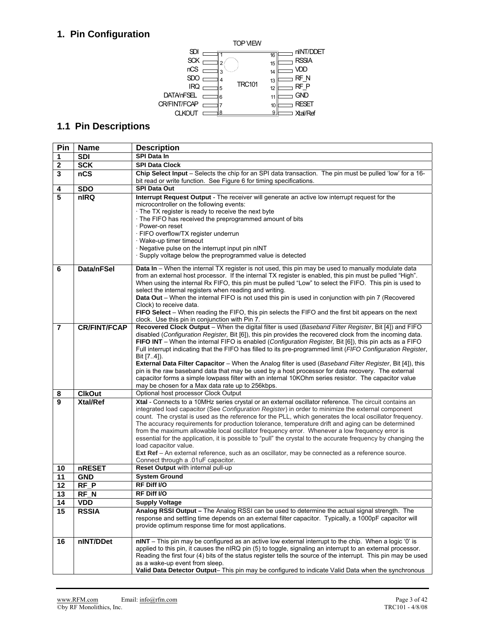# **1. Pin Configuration**



## **1.1 Pin Descriptions**

| Pin              | <b>Name</b>         | <b>Description</b>                                                                                                                                                                                                                                                                                                                                                                                                                                                                                                                                                                                                                                                                                                                                                                                                                               |
|------------------|---------------------|--------------------------------------------------------------------------------------------------------------------------------------------------------------------------------------------------------------------------------------------------------------------------------------------------------------------------------------------------------------------------------------------------------------------------------------------------------------------------------------------------------------------------------------------------------------------------------------------------------------------------------------------------------------------------------------------------------------------------------------------------------------------------------------------------------------------------------------------------|
| 1                | <b>SDI</b>          | <b>SPI Data In</b>                                                                                                                                                                                                                                                                                                                                                                                                                                                                                                                                                                                                                                                                                                                                                                                                                               |
| $\boldsymbol{2}$ | <b>SCK</b>          | <b>SPI Data Clock</b>                                                                                                                                                                                                                                                                                                                                                                                                                                                                                                                                                                                                                                                                                                                                                                                                                            |
| $\mathbf{3}$     | nCS                 | Chip Select Input - Selects the chip for an SPI data transaction. The pin must be pulled 'low' for a 16-<br>bit read or write function. See Figure 6 for timing specifications.                                                                                                                                                                                                                                                                                                                                                                                                                                                                                                                                                                                                                                                                  |
| 4                | <b>SDO</b>          | <b>SPI Data Out</b>                                                                                                                                                                                                                                                                                                                                                                                                                                                                                                                                                                                                                                                                                                                                                                                                                              |
| 5                | nIRQ                | Interrupt Request Output - The receiver will generate an active low interrupt request for the<br>microcontroller on the following events:<br>The TX register is ready to receive the next byte<br>· The FIFO has received the preprogrammed amount of bits<br>· Power-on reset<br>· FIFO overflow/TX register underrun<br>· Wake-up timer timeout<br>· Negative pulse on the interrupt input pin nINT<br>Supply voltage below the preprogrammed value is detected                                                                                                                                                                                                                                                                                                                                                                                |
| 6                | Data/nFSel          | Data In - When the internal TX register is not used, this pin may be used to manually modulate data<br>from an external host processor. If the internal TX register is enabled, this pin must be pulled "High".<br>When using the internal Rx FIFO, this pin must be pulled "Low" to select the FIFO. This pin is used to<br>select the internal registers when reading and writing.<br>Data Out - When the internal FIFO is not used this pin is used in conjunction with pin 7 (Recovered<br>Clock) to receive data.<br>FIFO Select - When reading the FIFO, this pin selects the FIFO and the first bit appears on the next<br>clock. Use this pin in conjunction with Pin 7.                                                                                                                                                                 |
| 7                | <b>CR/FINT/FCAP</b> | Recovered Clock Output - When the digital filter is used (Baseband Filter Register, Bit [4]) and FIFO<br>disabled (Configuration Register, Bit [6]), this pin provides the recovered clock from the incoming data.<br>FIFO INT - When the internal FIFO is enabled (Configuration Register, Bit [6]), this pin acts as a FIFO<br>Full interrupt indicating that the FIFO has filled to its pre-programmed limit (FIFO Configuration Register,<br>Bit [74]).<br><b>External Data Filter Capacitor</b> – When the Analog filter is used (Baseband Filter Register, Bit [4]), this<br>pin is the raw baseband data that may be used by a host processor for data recovery. The external<br>capacitor forms a simple lowpass filter with an internal 10KOhm series resistor. The capacitor value<br>may be chosen for a Max data rate up to 256kbps. |
| 8                | <b>ClkOut</b>       | Optional host processor Clock Output                                                                                                                                                                                                                                                                                                                                                                                                                                                                                                                                                                                                                                                                                                                                                                                                             |
| 9                | <b>Xtal/Ref</b>     | Xtal - Connects to a 10MHz series crystal or an external oscillator reference. The circuit contains an<br>integrated load capacitor (See Configuration Register) in order to minimize the external component<br>count. The crystal is used as the reference for the PLL, which generates the local oscillator frequency.<br>The accuracy requirements for production tolerance, temperature drift and aging can be determined<br>from the maximum allowable local oscillator frequency error. Whenever a low frequency error is<br>essential for the application, it is possible to "pull" the crystal to the accurate frequency by changing the<br>load capacitor value.<br>Ext Ref - An external reference, such as an oscillator, may be connected as a reference source.<br>Connect through a .01uF capacitor.                               |
| 10               | nRESET              | Reset Output with internal pull-up                                                                                                                                                                                                                                                                                                                                                                                                                                                                                                                                                                                                                                                                                                                                                                                                               |
| 11               | <b>GND</b>          | <b>System Ground</b>                                                                                                                                                                                                                                                                                                                                                                                                                                                                                                                                                                                                                                                                                                                                                                                                                             |
| $\overline{12}$  | $RF$ $P$            | RF Diff I/O                                                                                                                                                                                                                                                                                                                                                                                                                                                                                                                                                                                                                                                                                                                                                                                                                                      |
| 13               | RF <sub>N</sub>     | RF Diff I/O                                                                                                                                                                                                                                                                                                                                                                                                                                                                                                                                                                                                                                                                                                                                                                                                                                      |
| 14               | <b>VDD</b>          | <b>Supply Voltage</b>                                                                                                                                                                                                                                                                                                                                                                                                                                                                                                                                                                                                                                                                                                                                                                                                                            |
| 15               | <b>RSSIA</b>        | Analog RSSI Output - The Analog RSSI can be used to determine the actual signal strength. The<br>response and settling time depends on an external filter capacitor. Typically, a 1000pF capacitor will<br>provide optimum response time for most applications.                                                                                                                                                                                                                                                                                                                                                                                                                                                                                                                                                                                  |
| 16               | nINT/DDet           | nlNT - This pin may be configured as an active low external interrupt to the chip. When a logic '0' is<br>applied to this pin, it causes the nIRQ pin (5) to toggle, signaling an interrupt to an external processor.<br>Reading the first four (4) bits of the status register tells the source of the interrupt. This pin may be used<br>as a wake-up event from sleep.<br>Valid Data Detector Output- This pin may be configured to indicate Valid Data when the synchronous                                                                                                                                                                                                                                                                                                                                                                  |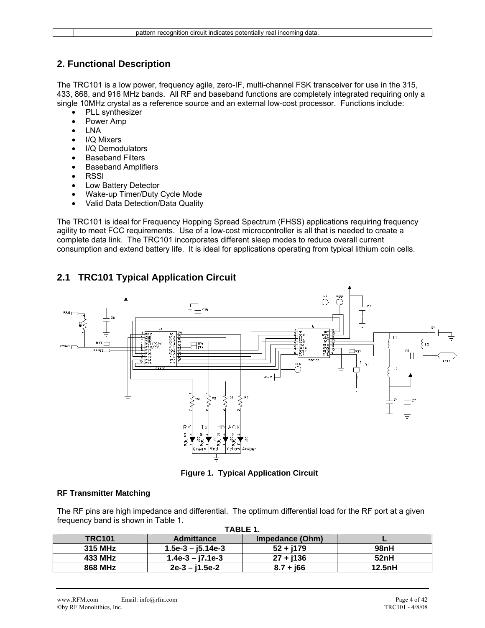## **2. Functional Description**

The TRC101 is a low power, frequency agile, zero-IF, multi-channel FSK transceiver for use in the 315, 433, 868, and 916 MHz bands. All RF and baseband functions are completely integrated requiring only a single 10MHz crystal as a reference source and an external low-cost processor. Functions include:

- PLL synthesizer
- Power Amp
- LNA
- I/Q Mixers
- I/Q Demodulators
- **Baseband Filters**
- Baseband Amplifiers
- RSSI
- Low Battery Detector
- Wake-up Timer/Duty Cycle Mode
- Valid Data Detection/Data Quality

The TRC101 is ideal for Frequency Hopping Spread Spectrum (FHSS) applications requiring frequency agility to meet FCC requirements. Use of a low-cost microcontroller is all that is needed to create a complete data link. The TRC101 incorporates different sleep modes to reduce overall current consumption and extend battery life. It is ideal for applications operating from typical lithium coin cells.

## **2.1 TRC101 Typical Application Circuit**



**Figure 1. Typical Application Circuit** 

#### **RF Transmitter Matching**

The RF pins are high impedance and differential. The optimum differential load for the RF port at a given frequency band is shown in Table 1.

|               | TABLE 1.            |                 |        |  |  |  |  |  |  |  |  |  |  |  |
|---------------|---------------------|-----------------|--------|--|--|--|--|--|--|--|--|--|--|--|
| <b>TRC101</b> | <b>Admittance</b>   | Impedance (Ohm) |        |  |  |  |  |  |  |  |  |  |  |  |
| 315 MHz       | $1.5e-3 - j5.14e-3$ | $52 + j179$     | 98nH   |  |  |  |  |  |  |  |  |  |  |  |
| 433 MHz       | $1.4e-3 - j7.1e-3$  | $27 + j136$     | 52nH   |  |  |  |  |  |  |  |  |  |  |  |
| 868 MHz       | $2e-3 - i1.5e-2$    | $8.7 + 166$     | 12.5nH |  |  |  |  |  |  |  |  |  |  |  |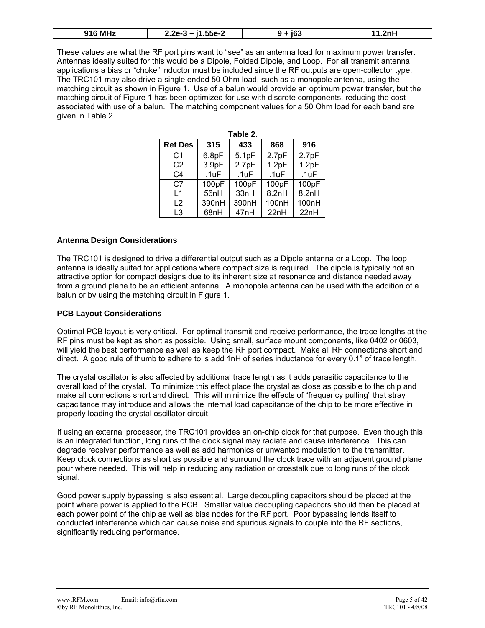| <b>916 MHz</b> | $ -$<br>.55e-2<br>- הכ<br>- -<br>-.-- | :e'<br>. | ワハト |
|----------------|---------------------------------------|----------|-----|
|----------------|---------------------------------------|----------|-----|

These values are what the RF port pins want to "see" as an antenna load for maximum power transfer. Antennas ideally suited for this would be a Dipole, Folded Dipole, and Loop. For all transmit antenna applications a bias or "choke" inductor must be included since the RF outputs are open-collector type. The TRC101 may also drive a single ended 50 Ohm load, such as a monopole antenna, using the matching circuit as shown in Figure 1. Use of a balun would provide an optimum power transfer, but the matching circuit of Figure 1 has been optimized for use with discrete components, reducing the cost associated with use of a balun. The matching component values for a 50 Ohm load for each band are given in Table 2.

|                |                   | Table 2.         |       |                   |
|----------------|-------------------|------------------|-------|-------------------|
| <b>Ref Des</b> | 315               | 433              | 868   | 916               |
| C <sub>1</sub> | 6.8pF             | 5.1pF            | 2.7pF | 2.7 <sub>pF</sub> |
| C <sub>2</sub> | 3.9 <sub>pF</sub> | 2.7pF            | 1.2pF | 1.2pF             |
| C4             | .1uF              | .1uF             | .1uF  | .1uF              |
| C <sub>7</sub> | 100pF             | 100pF            | 100pF | 100pF             |
| l 1            | 56nH              | 33nH             | 8.2nH | 8.2nH             |
| $\mathsf{L}2$  | 390nH             | 390nH            | 100nH | 100nH             |
| L <sub>3</sub> | 68nH              | 47 <sub>nH</sub> | 22nH  | 22nH              |

#### **Antenna Design Considerations**

The TRC101 is designed to drive a differential output such as a Dipole antenna or a Loop. The loop antenna is ideally suited for applications where compact size is required. The dipole is typically not an attractive option for compact designs due to its inherent size at resonance and distance needed away from a ground plane to be an efficient antenna. A monopole antenna can be used with the addition of a balun or by using the matching circuit in Figure 1.

#### **PCB Layout Considerations**

Optimal PCB layout is very critical. For optimal transmit and receive performance, the trace lengths at the RF pins must be kept as short as possible. Using small, surface mount components, like 0402 or 0603, will yield the best performance as well as keep the RF port compact. Make all RF connections short and direct. A good rule of thumb to adhere to is add 1nH of series inductance for every 0.1" of trace length.

The crystal oscillator is also affected by additional trace length as it adds parasitic capacitance to the overall load of the crystal. To minimize this effect place the crystal as close as possible to the chip and make all connections short and direct. This will minimize the effects of "frequency pulling" that stray capacitance may introduce and allows the internal load capacitance of the chip to be more effective in properly loading the crystal oscillator circuit.

If using an external processor, the TRC101 provides an on-chip clock for that purpose. Even though this is an integrated function, long runs of the clock signal may radiate and cause interference. This can degrade receiver performance as well as add harmonics or unwanted modulation to the transmitter. Keep clock connections as short as possible and surround the clock trace with an adjacent ground plane pour where needed. This will help in reducing any radiation or crosstalk due to long runs of the clock signal.

Good power supply bypassing is also essential. Large decoupling capacitors should be placed at the point where power is applied to the PCB. Smaller value decoupling capacitors should then be placed at each power point of the chip as well as bias nodes for the RF port. Poor bypassing lends itself to conducted interference which can cause noise and spurious signals to couple into the RF sections, significantly reducing performance.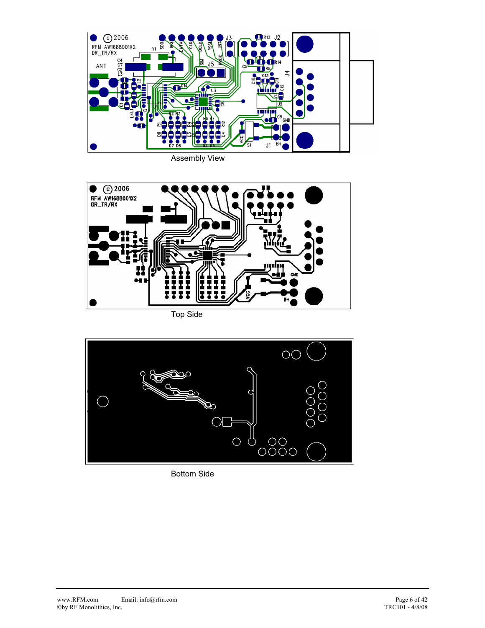

Assembly View



Top Side



Bottom Side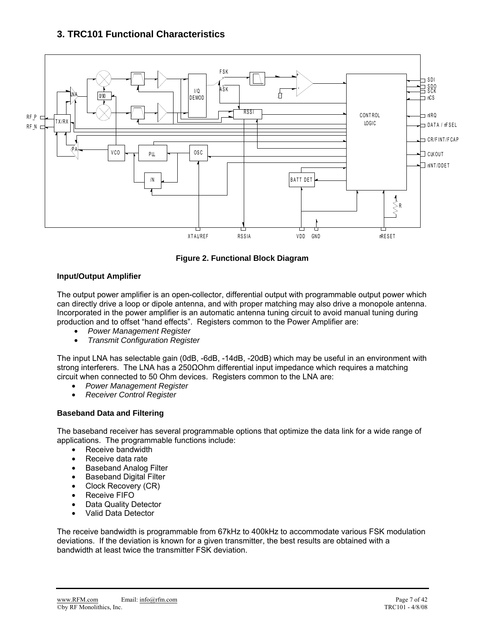## **3. TRC101 Functional Characteristics**



**Figure 2. Functional Block Diagram** 

#### **Input/Output Amplifier**

The output power amplifier is an open-collector, differential output with programmable output power which can directly drive a loop or dipole antenna, and with proper matching may also drive a monopole antenna. Incorporated in the power amplifier is an automatic antenna tuning circuit to avoid manual tuning during production and to offset "hand effects". Registers common to the Power Amplifier are:

- *Power Management Register*
- *Transmit Configuration Register*

The input LNA has selectable gain (0dB, -6dB, -14dB, -20dB) which may be useful in an environment with strong interferers. The LNA has a 250ΩOhm differential input impedance which requires a matching circuit when connected to 50 Ohm devices. Registers common to the LNA are:

- *Power Management Register*
- *Receiver Control Register*

#### **Baseband Data and Filtering**

The baseband receiver has several programmable options that optimize the data link for a wide range of applications. The programmable functions include:

- Receive bandwidth
- Receive data rate
- Baseband Analog Filter
- Baseband Digital Filter
- Clock Recovery (CR)
- Receive FIFO
- Data Quality Detector
- Valid Data Detector

The receive bandwidth is programmable from 67kHz to 400kHz to accommodate various FSK modulation deviations. If the deviation is known for a given transmitter, the best results are obtained with a bandwidth at least twice the transmitter FSK deviation.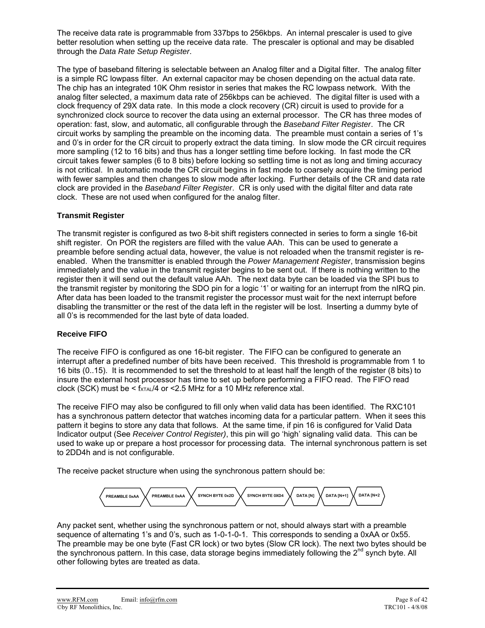The receive data rate is programmable from 337bps to 256kbps. An internal prescaler is used to give better resolution when setting up the receive data rate. The prescaler is optional and may be disabled through the *Data Rate Setup Register*.

The type of baseband filtering is selectable between an Analog filter and a Digital filter. The analog filter is a simple RC lowpass filter. An external capacitor may be chosen depending on the actual data rate. The chip has an integrated 10K Ohm resistor in series that makes the RC lowpass network. With the analog filter selected, a maximum data rate of 256kbps can be achieved. The digital filter is used with a clock frequency of 29X data rate. In this mode a clock recovery (CR) circuit is used to provide for a synchronized clock source to recover the data using an external processor. The CR has three modes of operation: fast, slow, and automatic, all configurable through the *Baseband Filter Register*. The CR circuit works by sampling the preamble on the incoming data. The preamble must contain a series of 1's and 0's in order for the CR circuit to properly extract the data timing. In slow mode the CR circuit requires more sampling (12 to 16 bits) and thus has a longer settling time before locking. In fast mode the CR circuit takes fewer samples (6 to 8 bits) before locking so settling time is not as long and timing accuracy is not critical. In automatic mode the CR circuit begins in fast mode to coarsely acquire the timing period with fewer samples and then changes to slow mode after locking. Further details of the CR and data rate clock are provided in the *Baseband Filter Register*. CR is only used with the digital filter and data rate clock. These are not used when configured for the analog filter.

#### **Transmit Register**

The transmit register is configured as two 8-bit shift registers connected in series to form a single 16-bit shift register. On POR the registers are filled with the value AAh. This can be used to generate a preamble before sending actual data, however, the value is not reloaded when the transmit register is reenabled. When the transmitter is enabled through the *Power Management Register*, transmission begins immediately and the value in the transmit register begins to be sent out. If there is nothing written to the register then it will send out the default value AAh. The next data byte can be loaded via the SPI bus to the transmit register by monitoring the SDO pin for a logic '1' or waiting for an interrupt from the nIRQ pin. After data has been loaded to the transmit register the processor must wait for the next interrupt before disabling the transmitter or the rest of the data left in the register will be lost. Inserting a dummy byte of all 0's is recommended for the last byte of data loaded.

#### **Receive FIFO**

The receive FIFO is configured as one 16-bit register. The FIFO can be configured to generate an interrupt after a predefined number of bits have been received. This threshold is programmable from 1 to 16 bits (0..15). It is recommended to set the threshold to at least half the length of the register (8 bits) to insure the external host processor has time to set up before performing a FIFO read. The FIFO read clock (SCK) must be  $<$  fxTAL/4 or  $<$  2.5 MHz for a 10 MHz reference xtal.

The receive FIFO may also be configured to fill only when valid data has been identified. The RXC101 has a synchronous pattern detector that watches incoming data for a particular pattern. When it sees this pattern it begins to store any data that follows. At the same time, if pin 16 is configured for Valid Data Indicator output (See *Receiver Control Register)*, this pin will go 'high' signaling valid data. This can be used to wake up or prepare a host processor for processing data. The internal synchronous pattern is set to 2DD4h and is not configurable.

The receive packet structure when using the synchronous pattern should be:



Any packet sent, whether using the synchronous pattern or not, should always start with a preamble sequence of alternating 1's and 0's, such as 1-0-1-0-1. This corresponds to sending a 0xAA or 0x55. The preamble may be one byte (Fast CR lock) or two bytes (Slow CR lock). The next two bytes should be the synchronous pattern. In this case, data storage begins immediately following the  $2<sup>nd</sup>$  synch byte. All other following bytes are treated as data.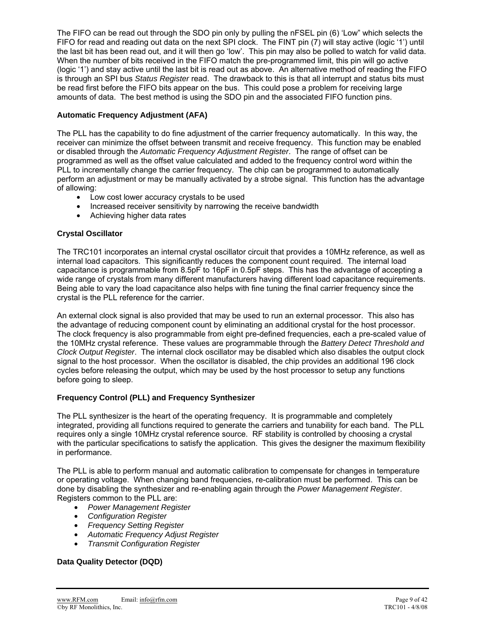The FIFO can be read out through the SDO pin only by pulling the nFSEL pin (6) 'Low" which selects the FIFO for read and reading out data on the next SPI clock. The FINT pin (7) will stay active (logic '1') until the last bit has been read out, and it will then go 'low'. This pin may also be polled to watch for valid data. When the number of bits received in the FIFO match the pre-programmed limit, this pin will go active (logic '1') and stay active until the last bit is read out as above. An alternative method of reading the FIFO is through an SPI bus *Status Register* read. The drawback to this is that all interrupt and status bits must be read first before the FIFO bits appear on the bus. This could pose a problem for receiving large amounts of data. The best method is using the SDO pin and the associated FIFO function pins.

#### **Automatic Frequency Adjustment (AFA)**

The PLL has the capability to do fine adjustment of the carrier frequency automatically. In this way, the receiver can minimize the offset between transmit and receive frequency. This function may be enabled or disabled through the *Automatic Frequency Adjustment Register*. The range of offset can be programmed as well as the offset value calculated and added to the frequency control word within the PLL to incrementally change the carrier frequency. The chip can be programmed to automatically perform an adjustment or may be manually activated by a strobe signal. This function has the advantage of allowing:

- Low cost lower accuracy crystals to be used
- Increased receiver sensitivity by narrowing the receive bandwidth
- Achieving higher data rates

#### **Crystal Oscillator**

The TRC101 incorporates an internal crystal oscillator circuit that provides a 10MHz reference, as well as internal load capacitors. This significantly reduces the component count required. The internal load capacitance is programmable from 8.5pF to 16pF in 0.5pF steps. This has the advantage of accepting a wide range of crystals from many different manufacturers having different load capacitance requirements. Being able to vary the load capacitance also helps with fine tuning the final carrier frequency since the crystal is the PLL reference for the carrier.

An external clock signal is also provided that may be used to run an external processor. This also has the advantage of reducing component count by eliminating an additional crystal for the host processor. The clock frequency is also programmable from eight pre-defined frequencies, each a pre-scaled value of the 10MHz crystal reference. These values are programmable through the *Battery Detect Threshold and Clock Output Register*. The internal clock oscillator may be disabled which also disables the output clock signal to the host processor. When the oscillator is disabled, the chip provides an additional 196 clock cycles before releasing the output, which may be used by the host processor to setup any functions before going to sleep.

#### **Frequency Control (PLL) and Frequency Synthesizer**

The PLL synthesizer is the heart of the operating frequency. It is programmable and completely integrated, providing all functions required to generate the carriers and tunability for each band. The PLL requires only a single 10MHz crystal reference source. RF stability is controlled by choosing a crystal with the particular specifications to satisfy the application. This gives the designer the maximum flexibility in performance.

The PLL is able to perform manual and automatic calibration to compensate for changes in temperature or operating voltage. When changing band frequencies, re-calibration must be performed. This can be done by disabling the synthesizer and re-enabling again through the *Power Management Register*. Registers common to the PLL are:

- *Power Management Register*
- *Configuration Register*
- *Frequency Setting Register*
- *Automatic Frequency Adjust Register*
- *Transmit Configuration Register*

#### **Data Quality Detector (DQD)**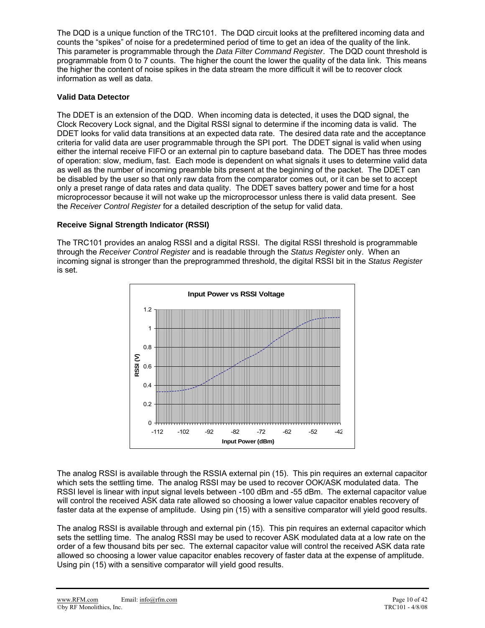The DQD is a unique function of the TRC101. The DQD circuit looks at the prefiltered incoming data and counts the "spikes" of noise for a predetermined period of time to get an idea of the quality of the link. This parameter is programmable through the *Data Filter Command Register*. The DQD count threshold is programmable from 0 to 7 counts. The higher the count the lower the quality of the data link. This means the higher the content of noise spikes in the data stream the more difficult it will be to recover clock information as well as data.

#### **Valid Data Detector**

The DDET is an extension of the DQD. When incoming data is detected, it uses the DQD signal, the Clock Recovery Lock signal, and the Digital RSSI signal to determine if the incoming data is valid. The DDET looks for valid data transitions at an expected data rate. The desired data rate and the acceptance criteria for valid data are user programmable through the SPI port. The DDET signal is valid when using either the internal receive FIFO or an external pin to capture baseband data. The DDET has three modes of operation: slow, medium, fast. Each mode is dependent on what signals it uses to determine valid data as well as the number of incoming preamble bits present at the beginning of the packet. The DDET can be disabled by the user so that only raw data from the comparator comes out, or it can be set to accept only a preset range of data rates and data quality. The DDET saves battery power and time for a host microprocessor because it will not wake up the microprocessor unless there is valid data present. See the *Receiver Control Register* for a detailed description of the setup for valid data.

#### **Receive Signal Strength Indicator (RSSI)**

The TRC101 provides an analog RSSI and a digital RSSI. The digital RSSI threshold is programmable through the *Receiver Control Register* and is readable through the *Status Register* only. When an incoming signal is stronger than the preprogrammed threshold, the digital RSSI bit in the *Status Register* is set.



The analog RSSI is available through the RSSIA external pin (15). This pin requires an external capacitor which sets the settling time. The analog RSSI may be used to recover OOK/ASK modulated data. The RSSI level is linear with input signal levels between -100 dBm and -55 dBm. The external capacitor value will control the received ASK data rate allowed so choosing a lower value capacitor enables recovery of faster data at the expense of amplitude. Using pin (15) with a sensitive comparator will yield good results.

The analog RSSI is available through and external pin (15). This pin requires an external capacitor which sets the settling time. The analog RSSI may be used to recover ASK modulated data at a low rate on the order of a few thousand bits per sec. The external capacitor value will control the received ASK data rate allowed so choosing a lower value capacitor enables recovery of faster data at the expense of amplitude. Using pin (15) with a sensitive comparator will yield good results.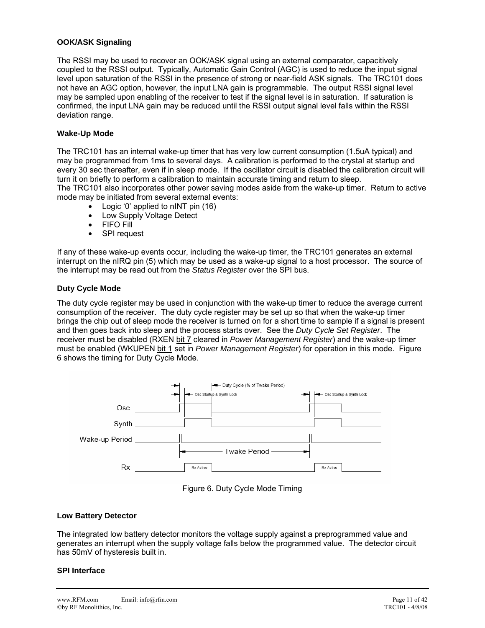#### **OOK/ASK Signaling**

The RSSI may be used to recover an OOK/ASK signal using an external comparator, capacitively coupled to the RSSI output. Typically, Automatic Gain Control (AGC) is used to reduce the input signal level upon saturation of the RSSI in the presence of strong or near-field ASK signals. The TRC101 does not have an AGC option, however, the input LNA gain is programmable. The output RSSI signal level may be sampled upon enabling of the receiver to test if the signal level is in saturation. If saturation is confirmed, the input LNA gain may be reduced until the RSSI output signal level falls within the RSSI deviation range.

#### **Wake-Up Mode**

The TRC101 has an internal wake-up timer that has very low current consumption (1.5uA typical) and may be programmed from 1ms to several days. A calibration is performed to the crystal at startup and every 30 sec thereafter, even if in sleep mode. If the oscillator circuit is disabled the calibration circuit will turn it on briefly to perform a calibration to maintain accurate timing and return to sleep. The TRC101 also incorporates other power saving modes aside from the wake-up timer. Return to active

mode may be initiated from several external events:

- Logic '0' applied to nINT pin (16)
- Low Supply Voltage Detect
- FIFO Fill
- SPI request

If any of these wake-up events occur, including the wake-up timer, the TRC101 generates an external interrupt on the nIRQ pin (5) which may be used as a wake-up signal to a host processor. The source of the interrupt may be read out from the *Status Register* over the SPI bus.

#### **Duty Cycle Mode**

The duty cycle register may be used in conjunction with the wake-up timer to reduce the average current consumption of the receiver. The duty cycle register may be set up so that when the wake-up timer brings the chip out of sleep mode the receiver is turned on for a short time to sample if a signal is present and then goes back into sleep and the process starts over. See the *Duty Cycle Set Register*. The receiver must be disabled (RXEN bit 7 cleared in Power Management Register) and the wake-up timer must be enabled (WKUPEN bit 1 set in *Power Management Register*) for operation in this mode. Figure 6 shows the timing for Duty Cycle Mode.





#### **Low Battery Detector**

The integrated low battery detector monitors the voltage supply against a preprogrammed value and generates an interrupt when the supply voltage falls below the programmed value. The detector circuit has 50mV of hysteresis built in.

#### **SPI Interface**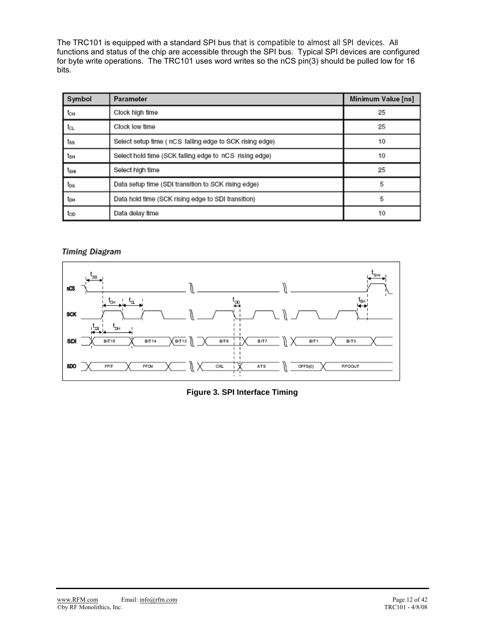The TRC101 is equipped with a standard SPI bus that is compatible to almost all SPI devices. All functions and status of the chip are accessible through the SPI bus. Typical SPI devices are configured for byte write operations. The TRC101 uses word writes so the nCS pin(3) should be pulled low for 16 bits.

| Symbol | Parameter                                                | Minimum Value [ns] |
|--------|----------------------------------------------------------|--------------------|
| tсн    | Clock high time                                          | 25                 |
| tα     | Clock low time                                           | 25                 |
| tss    | Select setup time ( nCS falling edge to SCK rising edge) | 10                 |
| tзн    | Select hold time (SCK falling edge to nCS rising edge)   | 10                 |
| tsнı   | Select high time                                         | 25                 |
| tos    | Data setup time (SDI transition to SCK rising edge)      | 5                  |
| tон    | Data hold time (SCK rising edge to SDI transition)       | 5                  |
| too    | Data delay time                                          | 10                 |

#### **Timing Diagram**



#### **Figure 3. SPI Interface Timing**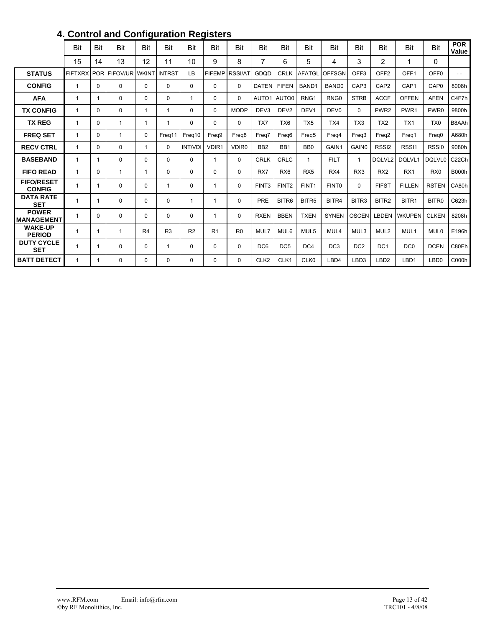|                                    | Bit            | Bit          | Bit            | Bit            | Bit            | Bit            | Bit            | Bit               | <b>Bit</b>        | Bit               | Bit               | <b>Bit</b>        | Bit              | <b>Bit</b>        | Bit               | Bit              | <b>POR</b><br>Value |
|------------------------------------|----------------|--------------|----------------|----------------|----------------|----------------|----------------|-------------------|-------------------|-------------------|-------------------|-------------------|------------------|-------------------|-------------------|------------------|---------------------|
|                                    | 15             | 14           | 13             | 12             | 11             | 10             | 9              | 8                 | 7                 | 6                 | 5                 | 4                 | 3                | 2                 | 1                 | 0                |                     |
| <b>STATUS</b>                      | <b>FIFTXRX</b> | <b>POR</b>   | FIFOV/UR WKINT |                | <b>INTRST</b>  | LB             | <b>FIFEMP</b>  | <b>RSSI/AT</b>    | GDQD              | <b>CRLK</b>       | <b>AFATGL</b>     | <b>OFFSGN</b>     | OFF <sub>3</sub> | OFF <sub>2</sub>  | OFF <sub>1</sub>  | OFF <sub>0</sub> | $ -$                |
| <b>CONFIG</b>                      | $\mathbf{1}$   | $\mathbf{0}$ | $\mathbf{0}$   | 0              | $\Omega$       | 0              | 0              | $\Omega$          | <b>DATEN</b>      | <b>FIFEN</b>      | BAND1             | BAND <sub>0</sub> | CAP <sub>3</sub> | CAP <sub>2</sub>  | CAP1              | CAP <sub>0</sub> | 8008h               |
| <b>AFA</b>                         | $\mathbf{1}$   | -1           | $\Omega$       | 0              | $\Omega$       | 1              | 0              | 0                 | AUTO1             | AUTO0             | RNG <sub>1</sub>  | RNG <sub>0</sub>  | <b>STRB</b>      | <b>ACCF</b>       | <b>OFFEN</b>      | <b>AFEN</b>      | C4F7h               |
| <b>TX CONFIG</b>                   | $\mathbf{1}$   | $\Omega$     | $\Omega$       | 1              | -1             | 0              | $\Omega$       | <b>MODP</b>       | DEV <sub>3</sub>  | DEV <sub>2</sub>  | DEV <sub>1</sub>  | DEV <sub>0</sub>  | 0                | PWR <sub>2</sub>  | PWR <sub>1</sub>  | PWR <sub>0</sub> | 9800h               |
| <b>TX REG</b>                      | $\mathbf{1}$   | $\mathbf{0}$ | $\mathbf{1}$   | 1              | -1             | 0              | 0              | 0                 | TX7               | TX <sub>6</sub>   | TX <sub>5</sub>   | TX4               | TX <sub>3</sub>  | TX <sub>2</sub>   | TX1               | TX <sub>0</sub>  | B8AAh               |
| <b>FREQ SET</b>                    | $\mathbf{1}$   | $\mathbf{0}$ | $\mathbf 1$    | 0              | Freg11         | Freq10         | Frea9          | Frea <sub>8</sub> | Frea7             | Frea6             | Frea <sub>5</sub> | Freq4             | Frea3            | Frea2             | Freq1             | Freq0            | A680h               |
| <b>RECV CTRL</b>                   | 1              | $\mathbf{0}$ | $\Omega$       | 1              | $\Omega$       | <b>INT/VDI</b> | VDIR1          | VDIR <sub>0</sub> | BB <sub>2</sub>   | BB1               | BB <sub>0</sub>   | GAIN1             | <b>GAIN0</b>     | RSSI <sub>2</sub> | RSSI <sub>1</sub> | RSSI0            | 9080h               |
| <b>BASEBAND</b>                    | $\mathbf{1}$   | -1           | $\Omega$       | 0              | $\Omega$       | 0              | 1              | $\Omega$          | <b>CRLK</b>       | CRLC              | $\mathbf 1$       | <b>FILT</b>       |                  | DQLVL2            | DQLVL1            | DQLVL0           | C <sub>22</sub> Ch  |
| <b>FIFO READ</b>                   | $\mathbf{1}$   | $\mathbf{0}$ | 1              | 1              | $\Omega$       | 0              | $\Omega$       | 0                 | RX7               | RX <sub>6</sub>   | RX <sub>5</sub>   | RX4               | RX <sub>3</sub>  | RX <sub>2</sub>   | RX <sub>1</sub>   | RX <sub>0</sub>  | <b>B000h</b>        |
| <b>FIFO/RESET</b><br><b>CONFIG</b> | 1              | -1           | $\mathbf 0$    | 0              | 1              | 0              | 1              | 0                 | FINT <sub>3</sub> | FINT <sub>2</sub> | FINT <sub>1</sub> | FINT <sub>0</sub> | 0                | <b>FIFST</b>      | <b>FILLEN</b>     | <b>RSTEN</b>     | CA80h               |
| <b>DATA RATE</b><br><b>SET</b>     | 1              | -1           | $\Omega$       | 0              | $\Omega$       | 1              | $\mathbf 1$    | $\Omega$          | PRE               | BITR6             | BITR <sub>5</sub> | BITR4             | BITR3            | BITR <sub>2</sub> | BITR1             | BITR0            | C623h               |
| <b>POWER</b><br><b>MANAGEMENT</b>  | $\mathbf{1}$   | $\Omega$     | $\Omega$       | 0              | $\Omega$       | 0              | 1              | $\Omega$          | <b>RXEN</b>       | <b>BBEN</b>       | <b>TXEN</b>       | <b>SYNEN</b>      | <b>OSCEN</b>     | <b>LBDEN</b>      | <b>WKUPEN</b>     | <b>CLKEN</b>     | 8208h               |
| <b>WAKE-UP</b><br><b>PERIOD</b>    | $\mathbf{1}$   | -1           | $\mathbf{1}$   | R <sub>4</sub> | R <sub>3</sub> | R <sub>2</sub> | R <sub>1</sub> | R <sub>0</sub>    | MUL7              | MUL6              | MUL <sub>5</sub>  | MUL4              | MUL3             | MUL <sub>2</sub>  | MUL1              | MUL <sub>0</sub> | E196h               |
| <b>DUTY CYCLE</b><br><b>SET</b>    | $\mathbf{1}$   | -1           | $\Omega$       | 0              | $\mathbf{1}$   | $\mathbf{0}$   | 0              | 0                 | DC <sub>6</sub>   | DC <sub>5</sub>   | DC <sub>4</sub>   | DC <sub>3</sub>   | DC <sub>2</sub>  | DC <sub>1</sub>   | DC <sub>0</sub>   | <b>DCEN</b>      | C80Eh               |
| <b>BATT DETECT</b>                 | $\mathbf{1}$   | -1           | $\Omega$       | 0              | $\Omega$       | 0              | 0              | $\Omega$          | CLK <sub>2</sub>  | CLK1              | CLK0              | LBD4              | LBD3             | LBD <sub>2</sub>  | LBD1              | LBD <sub>0</sub> | C000h               |

# **4. Control and Configuration Registers**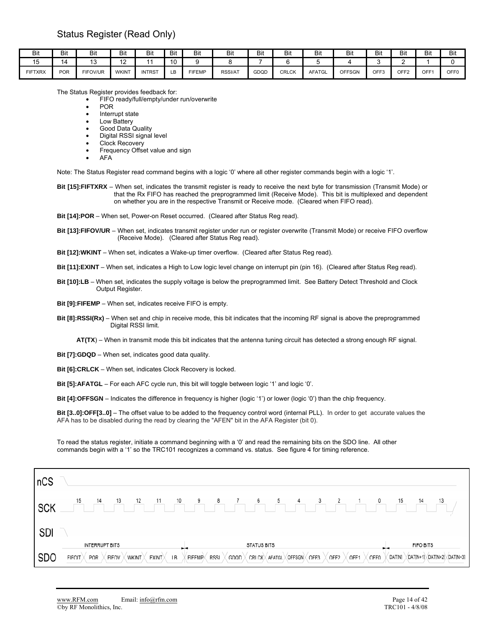| Bit     | Bit        | Bit      | Bit          | Bit           | Bit | Bit           | Bit            | Bit  | Bit          | Bit           | ыı            | Bit  | Bit  | Bit | Bit  |
|---------|------------|----------|--------------|---------------|-----|---------------|----------------|------|--------------|---------------|---------------|------|------|-----|------|
| ◡       |            | שו       | $\ddot{\,}$  |               | 10  |               |                |      |              |               |               |      |      |     |      |
| FIFTXRX | <b>POR</b> | FIFOV/UR | <b>WKIN1</b> | <b>INTRST</b> | LВ  | <b>FIFEMP</b> | <b>RSSI/AT</b> | GDQD | <b>CRLCK</b> | <b>AFATGL</b> | <b>OFFSGN</b> | OFF3 | OFF2 | OFF | OFFO |

The Status Register provides feedback for:

• FIFO ready/full/empty/under run/overwrite

- POR
- Interrupt state
- Low Battery
- Good Data Quality
- Digital RSSI signal level
- Clock Recovery
- Frequency Offset value and sign
- AFA

Note: The Status Register read command begins with a logic '0' where all other register commands begin with a logic '1'.

- **Bit [15]:FIFTXRX** When set, indicates the transmit register is ready to receive the next byte for transmission (Transmit Mode) or that the Rx FIFO has reached the preprogrammed limit (Receive Mode). This bit is multiplexed and dependent on whether you are in the respective Transmit or Receive mode. (Cleared when FIFO read).
- **Bit [14]:POR** When set, Power-on Reset occurred. (Cleared after Status Reg read).
- **Bit [13]:FIFOV/UR** When set, indicates transmit register under run or register overwrite (Transmit Mode) or receive FIFO overflow (Receive Mode). (Cleared after Status Reg read).
- **Bit [12]:WKINT** When set, indicates a Wake-up timer overflow. (Cleared after Status Reg read).
- **Bit [11]:EXINT** When set, indicates a High to Low logic level change on interrupt pin (pin 16). (Cleared after Status Reg read).
- **Bit [10]:LB** When set, indicates the supply voltage is below the preprogrammed limit. See Battery Detect Threshold and Clock Output Register.
- **Bit [9]:FIFEMP** When set, indicates receive FIFO is empty.
- **Bit [8]:RSSI(Rx)** When set and chip in receive mode, this bit indicates that the incoming RF signal is above the preprogrammed Digital RSSI limit.
	- **AT(TX**) When in transmit mode this bit indicates that the antenna tuning circuit has detected a strong enough RF signal.
- **Bit [7]:GDQD** When set, indicates good data quality.
- **Bit [6]:CRLCK** When set, indicates Clock Recovery is locked.
- **Bit [5]:AFATGL** For each AFC cycle run, this bit will toggle between logic '1' and logic '0'.

**Bit [4]:OFFSGN** – Indicates the difference in frequency is higher (logic '1') or lower (logic '0') than the chip frequency.

**Bit [3..0]:OFF[3..0]** – The offset value to be added to the frequency control word (internal PLL). In order to get accurate values the AFA has to be disabled during the read by clearing the "AFEN" bit in the AFA Register (bit 0).

To read the status register, initiate a command beginning with a '0' and read the remaining bits on the SDO line. All other commands begin with a '1' so the TRC101 recognizes a command vs. status. See figure 4 for timing reference.

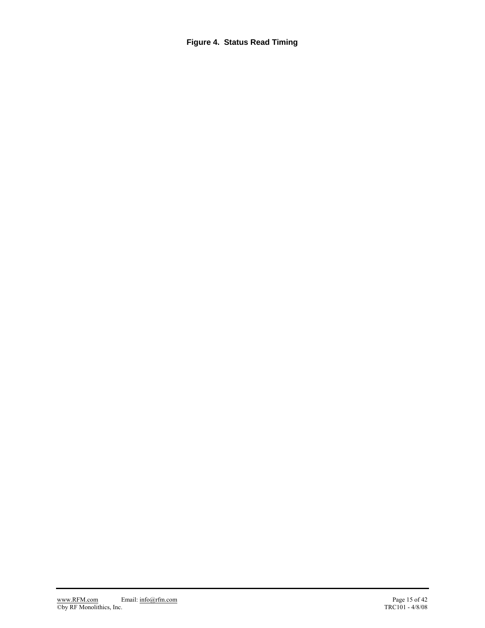**Figure 4. Status Read Timing**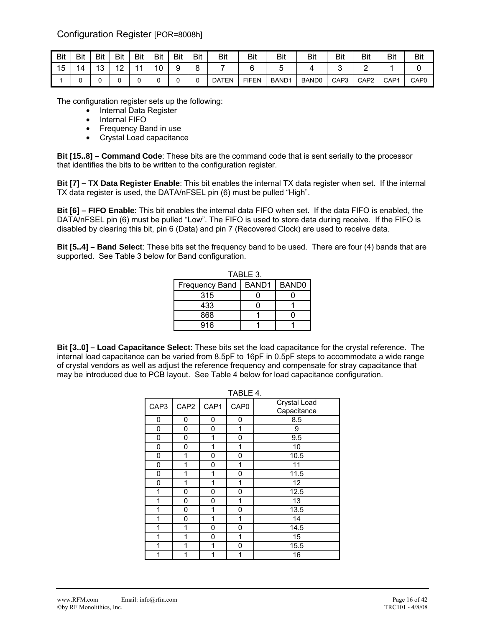Configuration Register [POR=8008h]

| Bit | Bit | Bit       | Bit                      | Bit | <b>Bit</b> | Bit    | Bit | Bit          | Bit          | <b>Bit</b>        | Bit               | Bit              | Bit              | Bit              | <b>Bit</b>       |
|-----|-----|-----------|--------------------------|-----|------------|--------|-----|--------------|--------------|-------------------|-------------------|------------------|------------------|------------------|------------------|
| 15  | 14  | 10<br>10. | $\sqrt{2}$<br>$\epsilon$ |     | 10         | a<br>ັ | o   |              |              |                   |                   |                  |                  |                  |                  |
|     |     |           |                          |     |            |        |     | <b>DATEN</b> | <b>FIFEN</b> | BAND <sub>1</sub> | BAND <sub>0</sub> | CAP <sub>3</sub> | CAP <sub>2</sub> | CAP <sub>1</sub> | CAP <sub>0</sub> |

The configuration register sets up the following:

- Internal Data Register
	- Internal FIFO
	- Frequency Band in use
	- Crystal Load capacitance

**Bit [15..8] – Command Code**: These bits are the command code that is sent serially to the processor that identifies the bits to be written to the configuration register.

**Bit [7] – TX Data Register Enable**: This bit enables the internal TX data register when set. If the internal TX data register is used, the DATA/nFSEL pin (6) must be pulled "High".

**Bit [6] – FIFO Enable**: This bit enables the internal data FIFO when set. If the data FIFO is enabled, the DATA/nFSEL pin (6) must be pulled "Low". The FIFO is used to store data during receive. If the FIFO is disabled by clearing this bit, pin 6 (Data) and pin 7 (Recovered Clock) are used to receive data.

**Bit [5..4] – Band Select**: These bits set the frequency band to be used. There are four (4) bands that are supported. See Table 3 below for Band configuration.

|                        | TABLE 3. |                   |
|------------------------|----------|-------------------|
| Frequency Band   BAND1 |          | BAND <sub>0</sub> |
| 315                    |          |                   |
| 433                    |          |                   |
| 868                    |          |                   |
| 916                    |          |                   |

**Bit [3..0] – Load Capacitance Select**: These bits set the load capacitance for the crystal reference. The internal load capacitance can be varied from 8.5pF to 16pF in 0.5pF steps to accommodate a wide range of crystal vendors as well as adjust the reference frequency and compensate for stray capacitance that may be introduced due to PCB layout. See Table 4 below for load capacitance configuration.

|      | TABLE 4.         |      |                  |                             |  |  |  |  |  |  |  |  |  |  |
|------|------------------|------|------------------|-----------------------------|--|--|--|--|--|--|--|--|--|--|
| CAP3 | CAP <sub>2</sub> | CAP1 | CAP <sub>0</sub> | Crystal Load<br>Capacitance |  |  |  |  |  |  |  |  |  |  |
| 0    | 0                | 0    | 0                | 8.5                         |  |  |  |  |  |  |  |  |  |  |
| 0    | 0                | 0    | 1                | 9                           |  |  |  |  |  |  |  |  |  |  |
| 0    | 0                | 1    | 0                | 9.5                         |  |  |  |  |  |  |  |  |  |  |
| 0    | 0                | 1    | 1                | 10                          |  |  |  |  |  |  |  |  |  |  |
| 0    | 1                | 0    | 0                | 10.5                        |  |  |  |  |  |  |  |  |  |  |
| 0    | 1                | 0    | 1                | 11                          |  |  |  |  |  |  |  |  |  |  |
| 0    | 1                | 1    | 0                | 11.5                        |  |  |  |  |  |  |  |  |  |  |
| 0    | 1                | 1    | 1                | 12                          |  |  |  |  |  |  |  |  |  |  |
| 1    | 0                | 0    | 0                | 12.5                        |  |  |  |  |  |  |  |  |  |  |
| 1    | 0                | 0    | 1                | 13                          |  |  |  |  |  |  |  |  |  |  |
| 1    | 0                | 1    | 0                | 13.5                        |  |  |  |  |  |  |  |  |  |  |
| 1    | 0                | 1    | 1                | 14                          |  |  |  |  |  |  |  |  |  |  |
| 1    | 1                | 0    | 0                | 14.5                        |  |  |  |  |  |  |  |  |  |  |
| 1    | 1                | 0    | 1                | 15                          |  |  |  |  |  |  |  |  |  |  |
| 1    | 1                | 1    | 0                | 15.5                        |  |  |  |  |  |  |  |  |  |  |
| 1    | 1                | 1    | 1                | 16                          |  |  |  |  |  |  |  |  |  |  |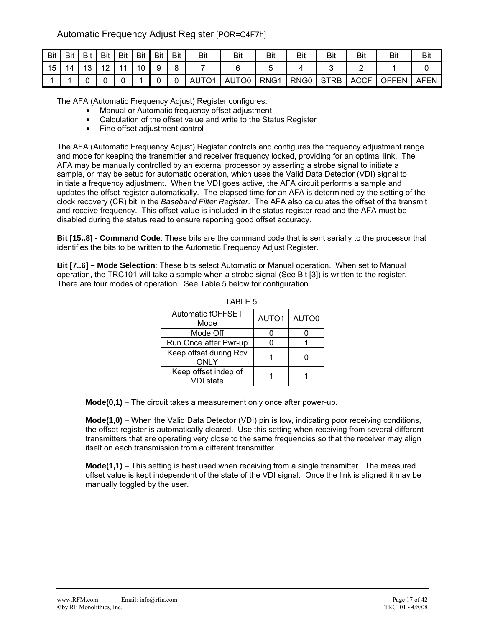## Automatic Frequency Adjust Register [POR=C4F7h]

| Bit | Bit | <b>Bit</b> | Bit                                        | Bit            | <b>Bit</b> | <b>Bit</b> | Bit | Bit   | Bit   | Bit              | Bit              | Bit         | Bit         | Bit   | Bit         |
|-----|-----|------------|--------------------------------------------|----------------|------------|------------|-----|-------|-------|------------------|------------------|-------------|-------------|-------|-------------|
| 15  | 14  | 13         | $\overline{A}$<br>$\overline{\phantom{a}}$ | $\overline{A}$ | 10         |            |     |       |       |                  |                  |             | -           |       |             |
|     |     |            |                                            |                |            |            |     | AUTO1 | AUTO0 | RNG <sub>1</sub> | RNG <sub>0</sub> | <b>STRB</b> | <b>ACCF</b> | OFFEN | <b>AFEN</b> |

The AFA (Automatic Frequency Adjust) Register configures:

- Manual or Automatic frequency offset adjustment
- Calculation of the offset value and write to the Status Register
- Fine offset adjustment control

The AFA (Automatic Frequency Adjust) Register controls and configures the frequency adjustment range and mode for keeping the transmitter and receiver frequency locked, providing for an optimal link. The AFA may be manually controlled by an external processor by asserting a strobe signal to initiate a sample, or may be setup for automatic operation, which uses the Valid Data Detector (VDI) signal to initiate a frequency adjustment. When the VDI goes active, the AFA circuit performs a sample and updates the offset register automatically. The elapsed time for an AFA is determined by the setting of the clock recovery (CR) bit in the *Baseband Filter Register*. The AFA also calculates the offset of the transmit and receive frequency. This offset value is included in the status register read and the AFA must be disabled during the status read to ensure reporting good offset accuracy.

**Bit [15..8] - Command Code**: These bits are the command code that is sent serially to the processor that identifies the bits to be written to the Automatic Frequency Adjust Register.

**Bit [7..6] – Mode Selection**: These bits select Automatic or Manual operation. When set to Manual operation, the TRC101 will take a sample when a strobe signal (See Bit [3]) is written to the register. There are four modes of operation. See Table 5 below for configuration.

| <b>Automatic fOFFSET</b><br>Mode      | AUTO1 | AUTO0 |
|---------------------------------------|-------|-------|
| Mode Off                              |       |       |
| Run Once after Pwr-up                 |       |       |
| Keep offset during Rcv<br><b>ONLY</b> |       |       |
| Keep offset indep of<br>VDI state     |       |       |

TABLE 5.

**Mode(0,1)** – The circuit takes a measurement only once after power-up.

**Mode(1,0)** – When the Valid Data Detector (VDI) pin is low, indicating poor receiving conditions, the offset register is automatically cleared. Use this setting when receiving from several different transmitters that are operating very close to the same frequencies so that the receiver may align itself on each transmission from a different transmitter.

**Mode(1,1)** – This setting is best used when receiving from a single transmitter. The measured offset value is kept independent of the state of the VDI signal. Once the link is aligned it may be manually toggled by the user.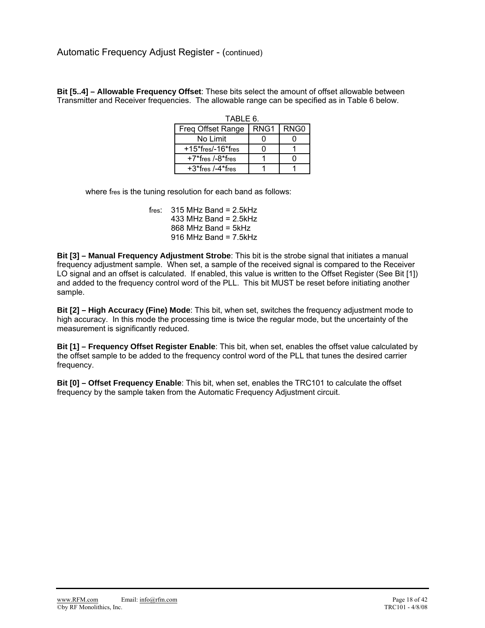**Bit [5..4] – Allowable Frequency Offset**: These bits select the amount of offset allowable between Transmitter and Receiver frequencies. The allowable range can be specified as in Table 6 below.

| TABLE 6.             |      |                  |  |  |  |  |  |  |  |
|----------------------|------|------------------|--|--|--|--|--|--|--|
| Freg Offset Range    | RNG1 | RNG <sub>0</sub> |  |  |  |  |  |  |  |
| No Limit             |      |                  |  |  |  |  |  |  |  |
| $+15$ *fres/-16*fres |      |                  |  |  |  |  |  |  |  |
| +7*fres /-8*fres     |      |                  |  |  |  |  |  |  |  |
| $+3$ *fres /-4*fres  |      |                  |  |  |  |  |  |  |  |

where fres is the tuning resolution for each band as follows:

fres:  $315$  MHz Band = 2.5kHz 433 MHz Band = 2.5kHz  $868$  MHz Band = 5kHz 916 MHz Band =  $7.5$ kHz

**Bit [3] – Manual Frequency Adjustment Strobe**: This bit is the strobe signal that initiates a manual frequency adjustment sample. When set, a sample of the received signal is compared to the Receiver LO signal and an offset is calculated. If enabled, this value is written to the Offset Register (See Bit [1]) and added to the frequency control word of the PLL. This bit MUST be reset before initiating another sample.

**Bit [2] – High Accuracy (Fine) Mode**: This bit, when set, switches the frequency adjustment mode to high accuracy. In this mode the processing time is twice the regular mode, but the uncertainty of the measurement is significantly reduced.

**Bit [1] – Frequency Offset Register Enable**: This bit, when set, enables the offset value calculated by the offset sample to be added to the frequency control word of the PLL that tunes the desired carrier frequency.

**Bit [0] – Offset Frequency Enable**: This bit, when set, enables the TRC101 to calculate the offset frequency by the sample taken from the Automatic Frequency Adjustment circuit.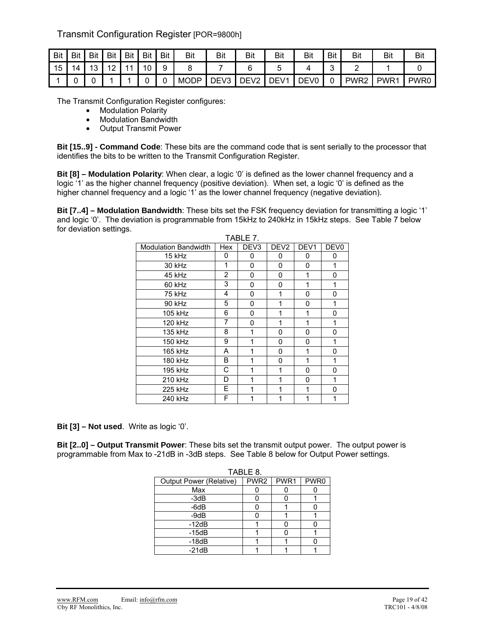## Transmit Configuration Register [POR=9800h]

| <b>Bit</b> | Bit | <b>Bit</b>    | Bit                    | Bit | Bit | Bit | Bit         | Bit              | <b>Bit</b>                        | Bit              | Bit              | <b>Bit</b> | <b>Bit</b>       | Bit              | Bit              |
|------------|-----|---------------|------------------------|-----|-----|-----|-------------|------------------|-----------------------------------|------------------|------------------|------------|------------------|------------------|------------------|
| 15         | 14  | $\Delta$<br>ັ | $\sqrt{2}$<br><u>.</u> |     | 10  | ч   |             |                  |                                   |                  |                  | ∽<br>ັ     |                  |                  |                  |
|            |     |               |                        |     |     |     | <b>MODP</b> | DEV <sub>3</sub> | $\overline{\phantom{a}}$<br>י ∩F. | DEV <sub>1</sub> | DEV <sub>0</sub> | ີ          | PWR <sub>2</sub> | PWR <sub>1</sub> | PWR <sub>0</sub> |

The Transmit Configuration Register configures:

- Modulation Polarity
- Modulation Bandwidth
- Output Transmit Power

**Bit [15..9] - Command Code**: These bits are the command code that is sent serially to the processor that identifies the bits to be written to the Transmit Configuration Register.

**Bit [8] – Modulation Polarity**: When clear, a logic '0' is defined as the lower channel frequency and a logic '1' as the higher channel frequency (positive deviation). When set, a logic '0' is defined as the higher channel frequency and a logic '1' as the lower channel frequency (negative deviation).

**Bit [7..4] – Modulation Bandwidth**: These bits set the FSK frequency deviation for transmitting a logic '1' and logic '0'. The deviation is programmable from 15kHz to 240kHz in 15kHz steps. See Table 7 below for deviation settings.  $TAD1F7$ 

| <b>Modulation Bandwidth</b> | Hex            | DEV <sub>3</sub> | DEV <sub>2</sub> | DEV <sub>1</sub> | DEV <sub>0</sub> |
|-----------------------------|----------------|------------------|------------------|------------------|------------------|
| 15 kHz                      | 0              | 0                | 0                | 0                | 0                |
| 30 kHz                      | 1              | 0                | 0                | 0                | 1                |
| 45 kHz                      | $\overline{2}$ | 0                | 0                | 1                | 0                |
| 60 kHz                      | 3              | 0                | 0                | 1                | 1                |
| 75 kHz                      | 4              | 0                | 1                | 0                | 0                |
| 90 kHz                      | 5              | 0                | 1                | 0                | 1                |
| 105 kHz                     | 6              | 0                | 1                | 1                | 0                |
| 120 kHz                     | 7              | 0                | 1                | 1                | 1                |
| 135 kHz                     | 8              | 1                | 0                | 0                | 0                |
| 150 kHz                     | 9              | 1                | 0                | 0                | 1                |
| 165 kHz                     | A              | 1                | 0                | 1                | 0                |
| 180 kHz                     | В              | 1                | 0                | 1                | 1                |
| 195 kHz                     | С              | 1                | 1                | 0                | 0                |
| 210 kHz                     | D              | 1                | 1                | 0                | 1                |
| 225 kHz                     | E              | 1                | 1                | 1                | O                |
| 240 kHz                     | F              | 1                |                  |                  |                  |

**Bit [3] – Not used**. Write as logic '0'.

**Bit [2..0] – Output Transmit Power**: These bits set the transmit output power. The output power is programmable from Max to -21dB in -3dB steps. See Table 8 below for Output Power settings.

| TABLE 8.                |                  |      |      |  |  |  |  |  |  |
|-------------------------|------------------|------|------|--|--|--|--|--|--|
| Output Power (Relative) | PWR <sub>2</sub> | PWR1 | PWR0 |  |  |  |  |  |  |
| Max                     |                  |      |      |  |  |  |  |  |  |
| $-3dB$                  |                  |      |      |  |  |  |  |  |  |
| $-6dB$                  |                  |      |      |  |  |  |  |  |  |
| $-9dB$                  |                  |      |      |  |  |  |  |  |  |
| $-12dB$                 |                  |      |      |  |  |  |  |  |  |
| $-15dB$                 |                  |      |      |  |  |  |  |  |  |
| $-18dB$                 |                  |      |      |  |  |  |  |  |  |
| $-21dB$                 |                  |      |      |  |  |  |  |  |  |

www.RFM.com Email: info@rfm.com Page 19 of 42<br>
©by RF Monolithics, Inc. TRC101 - 4/8/08 Cby RF Monolithics, Inc.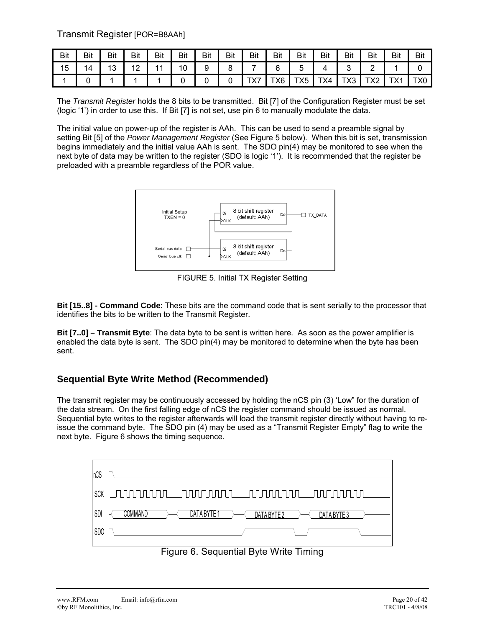Transmit Register [POR=B8AAh]

| <b>Bit</b> | Bit | <b>Bit</b> | Bit | Bit | Bit | <b>Bit</b> | <b>Bit</b> | Bit                 | <b>Bit</b> | Bit | Bit | <b>Bit</b> | <b>Bit</b> | Bit                 | <b>Bit</b> |
|------------|-----|------------|-----|-----|-----|------------|------------|---------------------|------------|-----|-----|------------|------------|---------------------|------------|
| 15         | 14  | 13         | 12  | 44  | 10  | У          |            |                     |            |     |     |            |            |                     |            |
|            |     |            |     |     |     |            |            | $\overline{\wedge}$ | TX6.       | TX5 | TX4 | TX3        | ╷⋏∠        | TVA<br>. $\wedge$ I | X0.        |

The *Transmit Register* holds the 8 bits to be transmitted. Bit [7] of the Configuration Register must be set (logic '1') in order to use this. If Bit [7] is not set, use pin 6 to manually modulate the data.

The initial value on power-up of the register is AAh. This can be used to send a preamble signal by setting Bit [5] of the *Power Management Register* (See Figure 5 below). When this bit is set, transmission begins immediately and the initial value AAh is sent. The SDO pin(4) may be monitored to see when the next byte of data may be written to the register (SDO is logic '1'). It is recommended that the register be preloaded with a preamble regardless of the POR value.



FIGURE 5. Initial TX Register Setting

**Bit [15..8] - Command Code**: These bits are the command code that is sent serially to the processor that identifies the bits to be written to the Transmit Register.

**Bit [7..0] – Transmit Byte**: The data byte to be sent is written here. As soon as the power amplifier is enabled the data byte is sent. The SDO pin(4) may be monitored to determine when the byte has been sent.

## **Sequential Byte Write Method (Recommended)**

The transmit register may be continuously accessed by holding the nCS pin (3) 'Low" for the duration of the data stream. On the first falling edge of nCS the register command should be issued as normal. Sequential byte writes to the register afterwards will load the transmit register directly without having to reissue the command byte. The SDO pin (4) may be used as a "Transmit Register Empty" flag to write the next byte. Figure 6 shows the timing sequence.

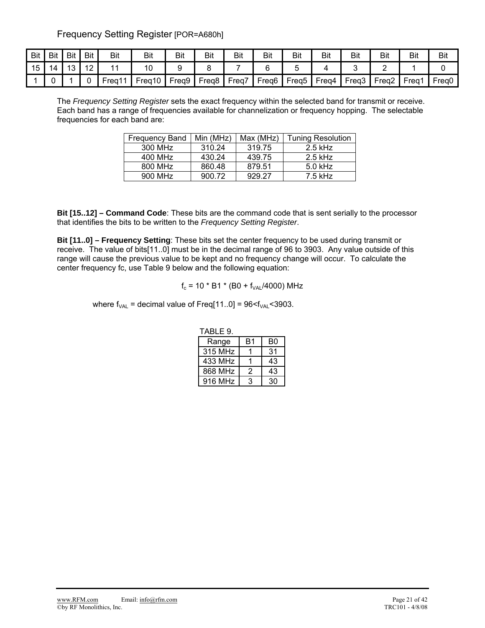Frequency Setting Register [POR=A680h]

| Bit | Bit | <b>Bit</b>          | Bit            | Bit  | Bit    | Bit   | Bit               | Bit   | Bit               | Bit               | Bit   | <b>Bit</b>        | Bit   | Bit   | <b>Bit</b>        |
|-----|-----|---------------------|----------------|------|--------|-------|-------------------|-------|-------------------|-------------------|-------|-------------------|-------|-------|-------------------|
| 15  | 4   | $\overline{4}$<br>J | $\overline{a}$ |      | 10     |       |                   |       |                   |                   |       |                   |       |       |                   |
|     |     |                     |                | Frea | Freg10 | Freq9 | Freq <sub>8</sub> | Freq, | Freq <sub>6</sub> | Freg <sub>5</sub> | Freg4 | Freg <sub>3</sub> | Frea2 | Freq1 | Freg <sub>0</sub> |

The *Frequency Setting Register* sets the exact frequency within the selected band for transmit or receive. Each band has a range of frequencies available for channelization or frequency hopping. The selectable frequencies for each band are:

| <b>Frequency Band</b> | Min (MHz) | Max (MHz) | <b>Tuning Resolution</b> |
|-----------------------|-----------|-----------|--------------------------|
| 300 MHz               | 310.24    | 319.75    | $2.5$ kHz                |
| 400 MHz               | 430.24    | 439.75    | $2.5$ kHz                |
| 800 MHz               | 860.48    | 879.51    | $5.0$ kHz                |
| 900 MHz               | 900.72    | 929.27    | $7.5$ kHz                |

**Bit [15..12] – Command Code**: These bits are the command code that is sent serially to the processor that identifies the bits to be written to the *Frequency Setting Register*.

**Bit [11..0] – Frequency Setting**: These bits set the center frequency to be used during transmit or receive. The value of bits[11..0] must be in the decimal range of 96 to 3903. Any value outside of this range will cause the previous value to be kept and no frequency change will occur. To calculate the center frequency fc, use Table 9 below and the following equation:

$$
f_c = 10 * B1 * (B0 + f_{VAL}/4000)
$$
 MHz

where  $f_{VAL}$  = decimal value of Freq[11..0] = 96 $\lt f_{VAL}$  < 3903.

| I ABLE 9. |    |    |
|-----------|----|----|
| Range     | B1 | B0 |
| 315 MHz   |    | 31 |
| 433 MHz   |    | 43 |
| 868 MHz   | 2  | 43 |
| 916 MHz   | 3  | 30 |

TABLE 9.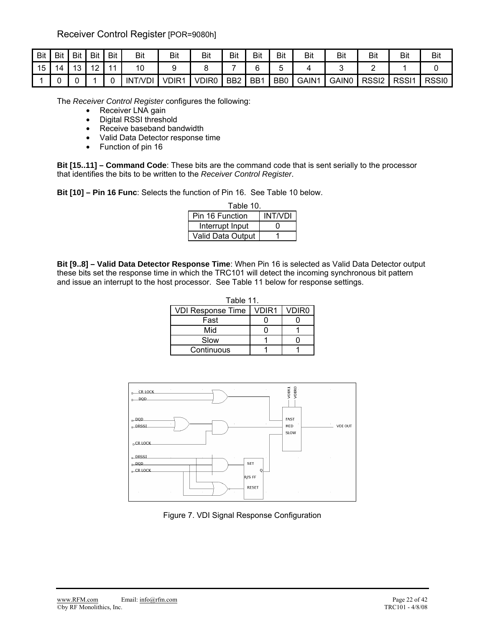Receiver Control Register [POR=9080h]

| Bit | Bit | Bit | Bit | Bit            | Bit            | Bit               | Bit          | Bit             | Bit | Bit            | Bit   | Bit   | Bit               | Bit               | <b>Bit</b> |
|-----|-----|-----|-----|----------------|----------------|-------------------|--------------|-----------------|-----|----------------|-------|-------|-------------------|-------------------|------------|
| 15  |     | 13  | 12  | $\overline{4}$ | 10             |                   |              |                 | ∽   |                |       |       |                   |                   |            |
|     |     |     |     |                | <b>INT/VDI</b> | VDIR <sup>1</sup> | <b>VDIR0</b> | BB <sub>2</sub> | BB1 | B <sub>B</sub> | GAIN1 | GAIN0 | RSSI <sub>2</sub> | RSS <sub>I1</sub> | RSSI0      |

The *Receiver Control Register* configures the following:

- Receiver LNA gain
- Digital RSSI threshold
- Receive baseband bandwidth
- Valid Data Detector response time
- Function of pin 16

**Bit [15..11] – Command Code**: These bits are the command code that is sent serially to the processor that identifies the bits to be written to the *Receiver Control Register*.

**Bit [10] – Pin 16 Func**: Selects the function of Pin 16. See Table 10 below.

| Table 10.         |                |
|-------------------|----------------|
| Pin 16 Function   | <b>INT/VDI</b> |
| Interrupt Input   |                |
| Valid Data Output |                |

**Bit [9..8] – Valid Data Detector Response Time**: When Pin 16 is selected as Valid Data Detector output these bits set the response time in which the TRC101 will detect the incoming synchronous bit pattern and issue an interrupt to the host processor. See Table 11 below for response settings.

| Table 11.                |       |                   |  |  |  |  |  |  |  |
|--------------------------|-------|-------------------|--|--|--|--|--|--|--|
| <b>VDI Response Time</b> | VDIR1 | VDIR <sub>0</sub> |  |  |  |  |  |  |  |
| Fast                     |       |                   |  |  |  |  |  |  |  |
| Mid                      |       |                   |  |  |  |  |  |  |  |
| Slow                     |       |                   |  |  |  |  |  |  |  |
| Continuous               |       |                   |  |  |  |  |  |  |  |



Figure 7. VDI Signal Response Configuration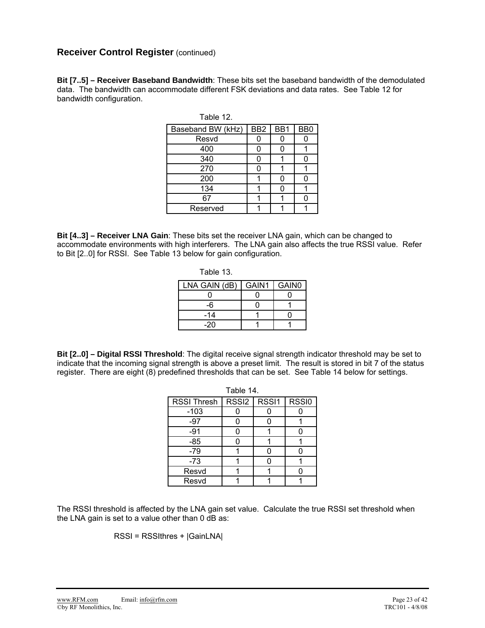## **Receiver Control Register (continued)**

**Bit [7..5] – Receiver Baseband Bandwidth**: These bits set the baseband bandwidth of the demodulated data. The bandwidth can accommodate different FSK deviations and data rates. See Table 12 for bandwidth configuration.

Table 12.

| Baseband BW (kHz) | BB <sub>2</sub> | BB1 | BB <sub>0</sub> |
|-------------------|-----------------|-----|-----------------|
| Resvd             | 0               |     |                 |
| 400               | 0               |     |                 |
| 340               | 0               |     |                 |
| 270               | 0               |     |                 |
| 200               |                 |     |                 |
| 134               |                 |     |                 |
| 67                |                 |     |                 |
| Reserved          |                 |     |                 |

**Bit [4..3] – Receiver LNA Gain**: These bits set the receiver LNA gain, which can be changed to accommodate environments with high interferers. The LNA gain also affects the true RSSI value. Refer to Bit [2..0] for RSSI. See Table 13 below for gain configuration.

| Table |  |
|-------|--|
|       |  |

| LNA GAIN (dB) | GAIN1 | GAIN <sub>0</sub> |
|---------------|-------|-------------------|
|               |       |                   |
| -6            |       |                   |
| -14           |       |                   |
| -20           |       |                   |

**Bit [2..0] – Digital RSSI Threshold**: The digital receive signal strength indicator threshold may be set to indicate that the incoming signal strength is above a preset limit. The result is stored in bit 7 of the status register. There are eight (8) predefined thresholds that can be set. See Table 14 below for settings.

|                    | Table 14. |               |              |
|--------------------|-----------|---------------|--------------|
| <b>RSSI Thresh</b> |           | RSSI2   RSSI1 | <b>RSSI0</b> |
| $-103$             |           |               |              |
| $-97$              |           |               |              |
| $-91$              |           |               |              |
| $-85$              |           |               |              |
| $-79$              |           |               |              |
| $-73$              |           |               |              |
| Resvd              |           |               |              |
| Resvd              |           |               |              |

The RSSI threshold is affected by the LNA gain set value. Calculate the true RSSI set threshold when the LNA gain is set to a value other than 0 dB as:

RSSI = RSSIthres + |GainLNA|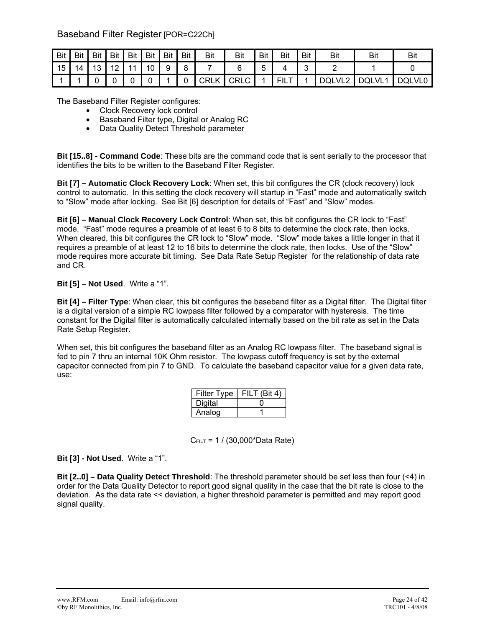## Baseband Filter Register [POR=C22Ch]

| Bit | <b>Bit</b> | <b>Bit</b> | <b>Bit</b>                             | Bit | <b>Bit</b> | <b>Bit</b> | <b>Bit</b> | <b>Bit</b> | Bit         | Bit | Bit         | Bit | <b>Bit</b> | Bit          | Bi     |
|-----|------------|------------|----------------------------------------|-----|------------|------------|------------|------------|-------------|-----|-------------|-----|------------|--------------|--------|
| 15  |            | 10         | $\sqrt{2}$<br>$\overline{\phantom{a}}$ |     | 10         | 9          | 8          |            |             |     |             | ີ   |            |              |        |
|     |            |            |                                        |     |            |            |            | CRLK       | <b>CRLC</b> |     | mн.<br>1 L. |     | DQLVL2     | <b>DQLVL</b> | DQLVL0 |

The Baseband Filter Register configures:

- Clock Recovery lock control
- Baseband Filter type, Digital or Analog RC
- Data Quality Detect Threshold parameter

**Bit [15..8] - Command Code**: These bits are the command code that is sent serially to the processor that identifies the bits to be written to the Baseband Filter Register.

**Bit [7] – Automatic Clock Recovery Lock**: When set, this bit configures the CR (clock recovery) lock control to automatic. In this setting the clock recovery will startup in "Fast" mode and automatically switch to "Slow" mode after locking. See Bit [6] description for details of "Fast" and "Slow" modes.

**Bit [6] – Manual Clock Recovery Lock Control**: When set, this bit configures the CR lock to "Fast" mode. "Fast" mode requires a preamble of at least 6 to 8 bits to determine the clock rate, then locks. When cleared, this bit configures the CR lock to "Slow" mode. "Slow" mode takes a little longer in that it requires a preamble of at least 12 to 16 bits to determine the clock rate, then locks. Use of the "Slow" mode requires more accurate bit timing. See Data Rate Setup Register for the relationship of data rate and CR.

#### **Bit [5] – Not Used**. Write a "1".

**Bit [4] – Filter Type**: When clear, this bit configures the baseband filter as a Digital filter. The Digital filter is a digital version of a simple RC lowpass filter followed by a comparator with hysteresis. The time constant for the Digital filter is automatically calculated internally based on the bit rate as set in the Data Rate Setup Register.

When set, this bit configures the baseband filter as an Analog RC lowpass filter. The baseband signal is fed to pin 7 thru an internal 10K Ohm resistor. The lowpass cutoff frequency is set by the external capacitor connected from pin 7 to GND. To calculate the baseband capacitor value for a given data rate, use:

| <b>Filter Type</b> | FILT (Bit 4) |
|--------------------|--------------|
| Digital            |              |
| Analog             |              |

CFILT = 1 / (30,000\*Data Rate)

#### **Bit [3] - Not Used**. Write a "1".

**Bit [2..0] – Data Quality Detect Threshold**: The threshold parameter should be set less than four (<4) in order for the Data Quality Detector to report good signal quality in the case that the bit rate is close to the deviation. As the data rate << deviation, a higher threshold parameter is permitted and may report good signal quality.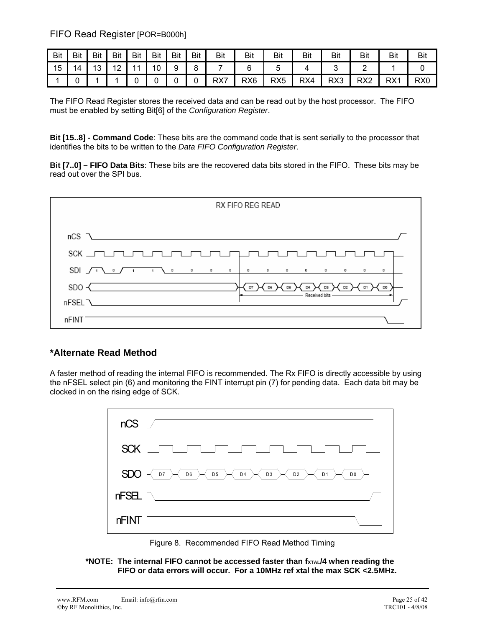FIFO Read Register [POR=B000h]

| <b>Bit</b> | Bit | Bit       | Bit                   | Bit            | <b>Bit</b> | Bit | <b>Bit</b>   | Bit | <b>Bit</b>      | Bit             | <b>Bit</b> | Bit | Bit             | Bit | <b>Bit</b>      |
|------------|-----|-----------|-----------------------|----------------|------------|-----|--------------|-----|-----------------|-----------------|------------|-----|-----------------|-----|-----------------|
| 15         | 4   | 1 O<br>ັບ | $\overline{A}$<br>. . | $\overline{A}$ | 10         | a   | $\circ$<br>ັ |     |                 | J               |            |     | ∽               |     |                 |
|            |     |           |                       |                |            |     | ∼            | RX7 | RX <sub>6</sub> | RX <sub>5</sub> | RX4        | RX3 | RX <sub>2</sub> | RX1 | RX <sub>0</sub> |

The FIFO Read Register stores the received data and can be read out by the host processor. The FIFO must be enabled by setting Bit[6] of the *Configuration Register*.

**Bit [15..8] - Command Code**: These bits are the command code that is sent serially to the processor that identifies the bits to be written to the *Data FIFO Configuration Register*.

**Bit [7..0] – FIFO Data Bits**: These bits are the recovered data bits stored in the FIFO. These bits may be read out over the SPI bus.



## **\*Alternate Read Method**

A faster method of reading the internal FIFO is recommended. The Rx FIFO is directly accessible by using the nFSEL select pin (6) and monitoring the FINT interrupt pin (7) for pending data. Each data bit may be clocked in on the rising edge of SCK.





\*NOTE: The internal FIFO cannot be accessed faster than fxTAL/4 when reading the **FIFO or data errors will occur. For a 10MHz ref xtal the max SCK <2.5MHz.**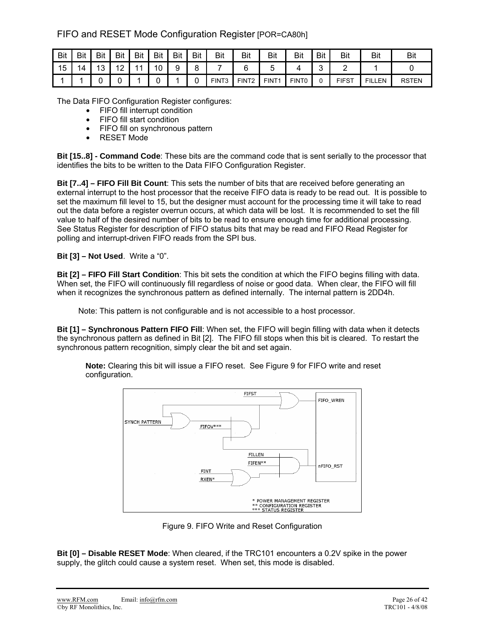## FIFO and RESET Mode Configuration Register [POR=CA80h]

| Bit | Bit | Bit             | <b>Bit</b>          | Bit            | Bit | Bit    | Bit | Bit   | Bit               | Bit               | Bit               | Bit        | Bit          | Bit           | Bit          |
|-----|-----|-----------------|---------------------|----------------|-----|--------|-----|-------|-------------------|-------------------|-------------------|------------|--------------|---------------|--------------|
| 15  | 14  | $\sqrt{2}$<br>J | $\overline{A}$<br>- | $\overline{A}$ | 10  | a<br>ັ | 8   |       |                   |                   |                   | $\sqrt{2}$ |              |               |              |
|     |     |                 |                     |                |     |        |     | FINT3 | FINT <sub>2</sub> | FINT <sub>1</sub> | FINT <sub>0</sub> |            | <b>FIFST</b> | <b>FILLEN</b> | <b>RSTEN</b> |

The Data FIFO Configuration Register configures:

- FIFO fill interrupt condition
- FIFO fill start condition
- FIFO fill on synchronous pattern
- RESET Mode

**Bit [15..8] - Command Code**: These bits are the command code that is sent serially to the processor that identifies the bits to be written to the Data FIFO Configuration Register.

**Bit [7..4] – FIFO Fill Bit Count**: This sets the number of bits that are received before generating an external interrupt to the host processor that the receive FIFO data is ready to be read out. It is possible to set the maximum fill level to 15, but the designer must account for the processing time it will take to read out the data before a register overrun occurs, at which data will be lost. It is recommended to set the fill value to half of the desired number of bits to be read to ensure enough time for additional processing. See Status Register for description of FIFO status bits that may be read and FIFO Read Register for polling and interrupt-driven FIFO reads from the SPI bus.

**Bit [3] – Not Used**. Write a "0".

**Bit [2] – FIFO Fill Start Condition**: This bit sets the condition at which the FIFO begins filling with data. When set, the FIFO will continuously fill regardless of noise or good data. When clear, the FIFO will fill when it recognizes the synchronous pattern as defined internally. The internal pattern is 2DD4h.

Note: This pattern is not configurable and is not accessible to a host processor.

**Bit [1] – Synchronous Pattern FIFO Fill**: When set, the FIFO will begin filling with data when it detects the synchronous pattern as defined in Bit [2]. The FIFO fill stops when this bit is cleared. To restart the synchronous pattern recognition, simply clear the bit and set again.

**Note:** Clearing this bit will issue a FIFO reset. See Figure 9 for FIFO write and reset configuration.



Figure 9. FIFO Write and Reset Configuration

**Bit [0] – Disable RESET Mode**: When cleared, if the TRC101 encounters a 0.2V spike in the power supply, the glitch could cause a system reset. When set, this mode is disabled.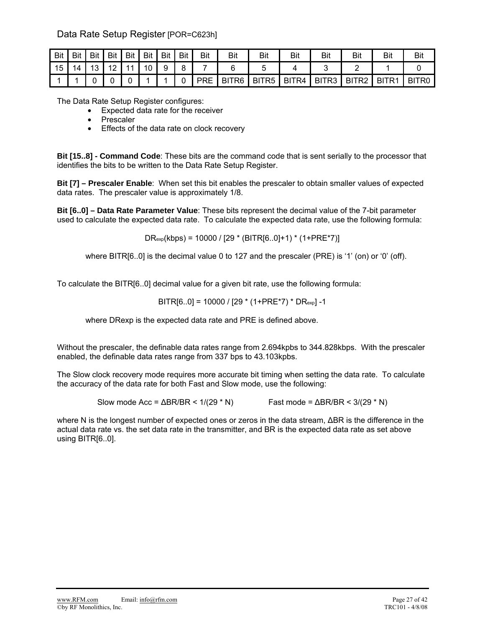## Data Rate Setup Register [POR=C623h]

| Bit | Bit | Bit | Bit               | Bit | Bit | <b>Bit</b> | Bit | Bit        | Bit   | Bit               | Bit   | Bit   | Bit   | Bit   | Bit   |
|-----|-----|-----|-------------------|-----|-----|------------|-----|------------|-------|-------------------|-------|-------|-------|-------|-------|
| 15  | 14  | 13  | $\sqrt{40}$<br>▎∠ | 11  | 10  | 9          | ₽   |            |       |                   |       |       |       |       |       |
|     |     |     |                   |     |     |            |     | <b>PRE</b> | BITR6 | BITR <sub>5</sub> | BITR4 | BITR3 | BITR2 | BITR1 | BITR0 |

The Data Rate Setup Register configures:

- Expected data rate for the receiver
- Prescaler
- Effects of the data rate on clock recovery

**Bit [15..8] - Command Code**: These bits are the command code that is sent serially to the processor that identifies the bits to be written to the Data Rate Setup Register.

**Bit [7] – Prescaler Enable**: When set this bit enables the prescaler to obtain smaller values of expected data rates. The prescaler value is approximately 1/8.

**Bit [6..0] – Data Rate Parameter Value**: These bits represent the decimal value of the 7-bit parameter used to calculate the expected data rate. To calculate the expected data rate, use the following formula:

 $DR_{exp}(kbps) = 10000 / [29 * (BITR[6..0]+1) * (1+PRE*7)]$ 

where BITR[6..0] is the decimal value 0 to 127 and the prescaler (PRE) is '1' (on) or '0' (off).

To calculate the BITR[6..0] decimal value for a given bit rate, use the following formula:

$$
BITR[6..0] = 10000 / [29 * (1+PRE*7) * DRexp] -1
$$

where DRexp is the expected data rate and PRE is defined above.

Without the prescaler, the definable data rates range from 2.694kpbs to 344.828kbps. With the prescaler enabled, the definable data rates range from 337 bps to 43.103kpbs.

The Slow clock recovery mode requires more accurate bit timing when setting the data rate. To calculate the accuracy of the data rate for both Fast and Slow mode, use the following:

Slow mode  $Acc = \Delta BR/BR < 1/(29 * N)$  Fast mode =  $\Delta BR/BR < 3/(29 * N)$ 

where N is the longest number of expected ones or zeros in the data stream, ΔBR is the difference in the actual data rate vs. the set data rate in the transmitter, and BR is the expected data rate as set above using BITR[6..0].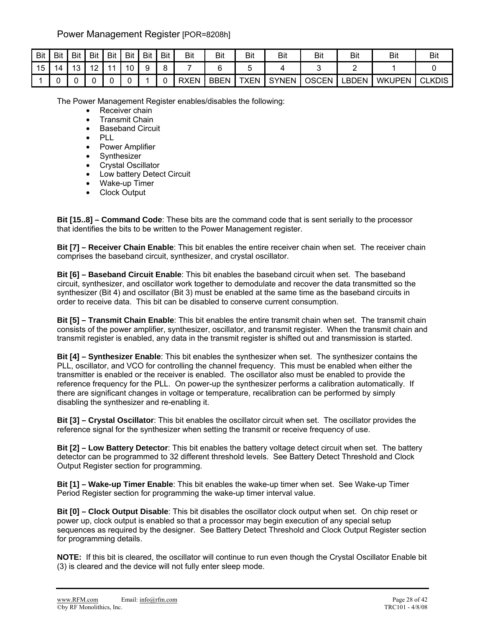## Power Management Register [POR=8208h]

| Bit | <b>Bit</b> | <b>Bit</b> | Bit                 | Bit | Bit | Bit | Bit | <b>Bit</b>  | Bit  | Bit         | Bit          | Bit          | Bit   | Bit           | Bit           |
|-----|------------|------------|---------------------|-----|-----|-----|-----|-------------|------|-------------|--------------|--------------|-------|---------------|---------------|
| 15  | 4          | 10         | $\overline{ }$<br>▵ | -41 | 1 N | a   |     |             |      |             |              |              |       |               |               |
|     |            |            |                     |     |     |     |     | <b>RXEN</b> | BBEN | <b>TXEN</b> | <b>SYNEN</b> | <b>OSCEN</b> | ∟BDEN | <b>WKUPEN</b> | <b>CLKDIS</b> |

The Power Management Register enables/disables the following:

- Receiver chain
- Transmit Chain
- Baseband Circuit
- PLL
- Power Amplifier
- Synthesizer
- Crystal Oscillator
- Low battery Detect Circuit
- Wake-up Timer
- Clock Output

**Bit [15..8] – Command Code**: These bits are the command code that is sent serially to the processor that identifies the bits to be written to the Power Management register.

**Bit [7] – Receiver Chain Enable**: This bit enables the entire receiver chain when set. The receiver chain comprises the baseband circuit, synthesizer, and crystal oscillator.

**Bit [6] – Baseband Circuit Enable**: This bit enables the baseband circuit when set. The baseband circuit, synthesizer, and oscillator work together to demodulate and recover the data transmitted so the synthesizer (Bit 4) and oscillator (Bit 3) must be enabled at the same time as the baseband circuits in order to receive data. This bit can be disabled to conserve current consumption.

**Bit [5] – Transmit Chain Enable**: This bit enables the entire transmit chain when set. The transmit chain consists of the power amplifier, synthesizer, oscillator, and transmit register. When the transmit chain and transmit register is enabled, any data in the transmit register is shifted out and transmission is started.

**Bit [4] – Synthesizer Enable**: This bit enables the synthesizer when set. The synthesizer contains the PLL, oscillator, and VCO for controlling the channel frequency. This must be enabled when either the transmitter is enabled or the receiver is enabled. The oscillator also must be enabled to provide the reference frequency for the PLL. On power-up the synthesizer performs a calibration automatically. If there are significant changes in voltage or temperature, recalibration can be performed by simply disabling the synthesizer and re-enabling it.

**Bit [3] – Crystal Oscillator**: This bit enables the oscillator circuit when set. The oscillator provides the reference signal for the synthesizer when setting the transmit or receive frequency of use.

**Bit [2] – Low Battery Detector**: This bit enables the battery voltage detect circuit when set. The battery detector can be programmed to 32 different threshold levels. See Battery Detect Threshold and Clock Output Register section for programming.

**Bit [1] – Wake-up Timer Enable**: This bit enables the wake-up timer when set. See Wake-up Timer Period Register section for programming the wake-up timer interval value.

**Bit [0] – Clock Output Disable**: This bit disables the oscillator clock output when set. On chip reset or power up, clock output is enabled so that a processor may begin execution of any special setup sequences as required by the designer. See Battery Detect Threshold and Clock Output Register section for programming details.

**NOTE:** If this bit is cleared, the oscillator will continue to run even though the Crystal Oscillator Enable bit (3) is cleared and the device will not fully enter sleep mode.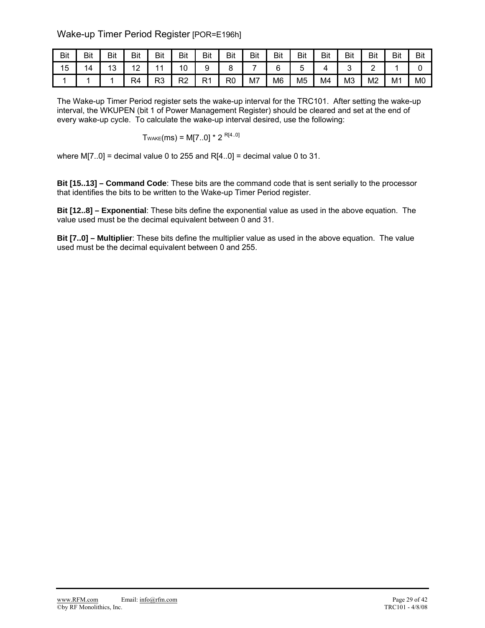## Wake-up Timer Period Register [POR=E196h]

| Bit | Bit | Bit                   | Bit            | Bit            | Bit      | Bit       | Bit | <b>Bit</b> | Bit | Bit            | Bit | Bit | Bit | Bit            | Bit            |
|-----|-----|-----------------------|----------------|----------------|----------|-----------|-----|------------|-----|----------------|-----|-----|-----|----------------|----------------|
| 15  | 14  | $\overline{ }$<br>د ا | $\sim$<br>' '  | $\overline{A}$ | 10       |           |     |            |     |                |     |     | -   |                |                |
|     |     |                       | R <sub>4</sub> | R3             | ∩ים<br>∼ | ∙⊂<br>N 1 | R0  | M7         | M6  | M <sub>5</sub> | M4  | M3  | M2  | M <sub>1</sub> | M <sub>0</sub> |

The Wake-up Timer Period register sets the wake-up interval for the TRC101. After setting the wake-up interval, the WKUPEN (bit 1 of Power Management Register) should be cleared and set at the end of every wake-up cycle. To calculate the wake-up interval desired, use the following:

$$
T_{\text{WAKE}}(ms) = M[7..0] * 2^{R[4..0]}
$$

where  $M[7..0]$  = decimal value 0 to 255 and R[4..0] = decimal value 0 to 31.

**Bit [15..13] – Command Code**: These bits are the command code that is sent serially to the processor that identifies the bits to be written to the Wake-up Timer Period register.

**Bit [12..8] – Exponential**: These bits define the exponential value as used in the above equation. The value used must be the decimal equivalent between 0 and 31.

**Bit [7..0] – Multiplier**: These bits define the multiplier value as used in the above equation. The value used must be the decimal equivalent between 0 and 255.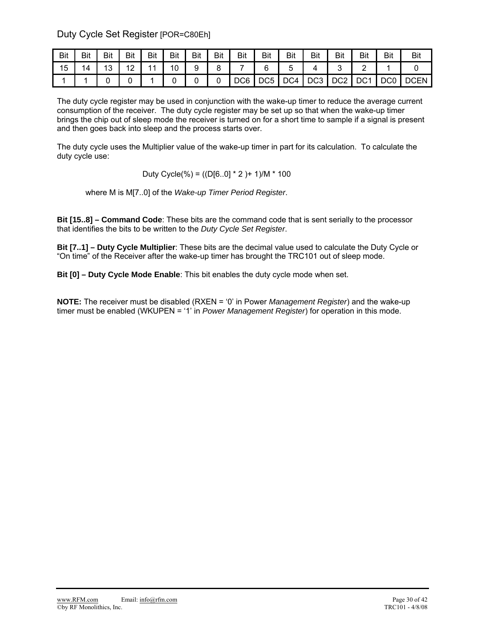Duty Cycle Set Register [POR=C80Eh]

| Bit | Bit | Bit     | Bit | Bit | Bit | Bit | Bit | Bit | Bit             | <b>Bit</b> | Bit             | Bit   | Bit             | Bit             | Bit         |
|-----|-----|---------|-----|-----|-----|-----|-----|-----|-----------------|------------|-----------------|-------|-----------------|-----------------|-------------|
| 15  | 14  | 12<br>J | 12  | 44  | 10  | 9   |     |     |                 |            |                 |       |                 |                 |             |
|     |     |         |     |     |     |     |     | DC6 | DC <sub>5</sub> | DC4        | DC <sub>3</sub> | DC2 I | DC <sub>1</sub> | DC <sub>0</sub> | <b>DCEN</b> |

The duty cycle register may be used in conjunction with the wake-up timer to reduce the average current consumption of the receiver. The duty cycle register may be set up so that when the wake-up timer brings the chip out of sleep mode the receiver is turned on for a short time to sample if a signal is present and then goes back into sleep and the process starts over.

The duty cycle uses the Multiplier value of the wake-up timer in part for its calculation. To calculate the duty cycle use:

Duty Cycle(%) = ((D[6..0] \* 2 )+ 1)/M \* 100

where M is M[7..0] of the *Wake-up Timer Period Register*.

**Bit [15..8] – Command Code**: These bits are the command code that is sent serially to the processor that identifies the bits to be written to the *Duty Cycle Set Register*.

**Bit [7..1] – Duty Cycle Multiplier**: These bits are the decimal value used to calculate the Duty Cycle or "On time" of the Receiver after the wake-up timer has brought the TRC101 out of sleep mode.

**Bit [0] – Duty Cycle Mode Enable**: This bit enables the duty cycle mode when set.

**NOTE:** The receiver must be disabled (RXEN = '0' in Power *Management Register*) and the wake-up timer must be enabled (WKUPEN = '1' in *Power Management Register*) for operation in this mode.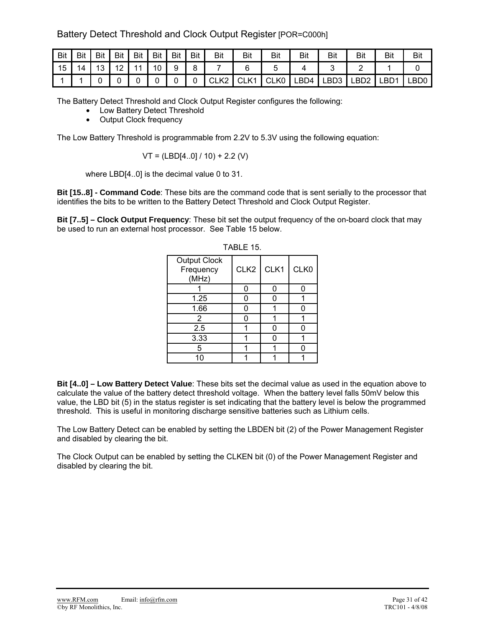## Battery Detect Threshold and Clock Output Register [POR=C000h]

| <b>Bit</b> | Bit | <b>Bit</b> | <b>Bit</b>               | <b>Bit</b>     | <b>Bit</b> | <b>Bit</b> | <b>Bit</b> | Bit   | Bit                           | Bit            | Bit  | Bit  | Bit  | Bit              | Bit  |
|------------|-----|------------|--------------------------|----------------|------------|------------|------------|-------|-------------------------------|----------------|------|------|------|------------------|------|
| 15         | 14  | 10<br>. ت  | $\sqrt{2}$<br>$\epsilon$ | $\overline{A}$ | 10         | a          |            |       |                               |                |      |      |      |                  |      |
|            |     |            |                          |                |            |            |            | ULNZ. | $\bigcap$ $\bigcup$ 1<br>ULNI | $\sim$<br>CLK0 | LBD4 | LBD3 | LBD2 | LBD <sup>4</sup> | _BD0 |

The Battery Detect Threshold and Clock Output Register configures the following:

- Low Battery Detect Threshold
- Output Clock frequency

The Low Battery Threshold is programmable from 2.2V to 5.3V using the following equation:

$$
VT = (LBD[4..0]/10) + 2.2 (V)
$$

where LBD[4..0] is the decimal value 0 to 31.

**Bit [15..8] - Command Code**: These bits are the command code that is sent serially to the processor that identifies the bits to be written to the Battery Detect Threshold and Clock Output Register.

**Bit [7..5] – Clock Output Frequency**: These bit set the output frequency of the on-board clock that may be used to run an external host processor. See Table 15 below.

| <b>Output Clock</b><br>Frequency<br>(MHz) | CLK <sub>2</sub> | CLK1 | CLK0 |
|-------------------------------------------|------------------|------|------|
|                                           |                  |      |      |
| 1.25                                      |                  |      |      |
| 1.66                                      |                  |      |      |
| 2                                         |                  |      |      |
| 2.5                                       |                  |      |      |
| 3.33                                      |                  |      |      |
| 5                                         |                  |      |      |
| 10                                        |                  |      |      |

| O.<br>ı<br>P.<br>חו |  |
|---------------------|--|
|---------------------|--|

**Bit [4..0] – Low Battery Detect Value**: These bits set the decimal value as used in the equation above to calculate the value of the battery detect threshold voltage. When the battery level falls 50mV below this value, the LBD bit (5) in the status register is set indicating that the battery level is below the programmed threshold. This is useful in monitoring discharge sensitive batteries such as Lithium cells.

The Low Battery Detect can be enabled by setting the LBDEN bit (2) of the Power Management Register and disabled by clearing the bit.

The Clock Output can be enabled by setting the CLKEN bit (0) of the Power Management Register and disabled by clearing the bit.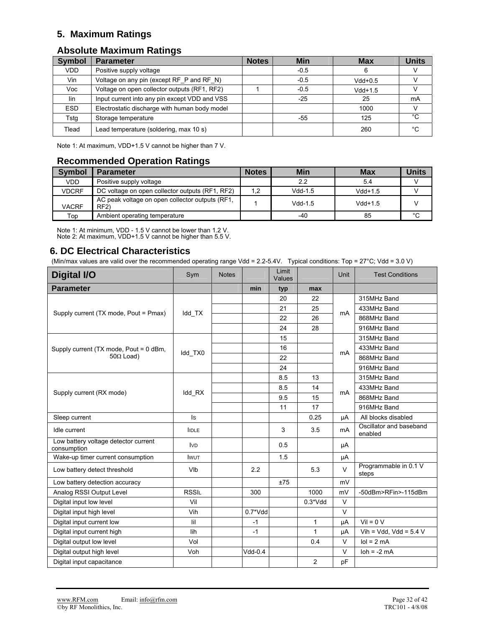## **5. Maximum Ratings**

## **Absolute Maximum Ratings**

| <b>Symbol</b> | <b>Parameter</b>                              | <b>Notes</b> | Min    | Max       | <b>Units</b> |
|---------------|-----------------------------------------------|--------------|--------|-----------|--------------|
| VDD.          | Positive supply voltage                       |              | $-0.5$ | 6         |              |
| Vin           | Voltage on any pin (except RF_P and RF_N)     |              | $-0.5$ | $Vdd+0.5$ |              |
| Voc           | Voltage on open collector outputs (RF1, RF2)  |              | $-0.5$ | $Vdd+1.5$ |              |
| lin           | Input current into any pin except VDD and VSS |              | $-25$  | 25        | mA           |
| <b>ESD</b>    | Electrostatic discharge with human body model |              |        | 1000      |              |
| Tstg          | Storage temperature                           |              | -55    | 125       | °C           |
| Tlead         | Lead temperature (soldering, max 10 s)        |              |        | 260       | °C           |

Note 1: At maximum, VDD+1.5 V cannot be higher than 7 V.

## **Recommended Operation Ratings**

| <b>Symbol</b> | <b>Parameter</b>                                       | <b>Notes</b> | Min       | <b>Max</b> | <b>Units</b> |
|---------------|--------------------------------------------------------|--------------|-----------|------------|--------------|
| VDD           | Positive supply voltage                                |              | 2.2       | 5.4        |              |
| <b>VDCRF</b>  | DC voltage on open collector outputs (RF1, RF2)        | 1,2          | $Vdd-1.5$ | $Vdd+1.5$  |              |
| <b>VACRF</b>  | AC peak voltage on open collector outputs (RF1,<br>RF2 |              | $Vdd-1.5$ | $Vdd+1.5$  |              |
| Top           | Ambient operating temperature                          |              | -40       | 85         | °C           |

Note 1: At minimum, VDD - 1.5 V cannot be lower than 1.2 V. Note 2: At maximum, VDD+1.5 V cannot be higher than 5.5 V.

## **6. DC Electrical Characteristics**

(Min/max values are valid over the recommended operating range Vdd = 2.2-5.4V. Typical conditions: Top =  $27^{\circ}$ C; Vdd = 3.0 V)

| Digital I/O                                         | Sym          | <b>Notes</b> |             | Limit<br>Values |                | <b>Unit</b>    | <b>Test Conditions</b>             |
|-----------------------------------------------------|--------------|--------------|-------------|-----------------|----------------|----------------|------------------------------------|
| <b>Parameter</b>                                    |              |              | min         | typ             | max            |                |                                    |
|                                                     |              |              |             | 20              | 22             |                | 315MHz Band                        |
| Supply current (TX mode, Pout = Pmax)               | Idd TX       |              |             | 21              | 25             | mA             | 433MHz Band                        |
|                                                     |              |              |             | 22              | 26             |                | 868MHz Band                        |
|                                                     |              |              |             | 24              | 28             |                | 916MHz Band                        |
|                                                     |              |              |             | 15              |                |                | 315MHz Band                        |
| Supply current (TX mode, Pout = 0 dBm,              | Idd TX0      |              |             | 16              |                | mA             | 433MHz Band                        |
| $50\Omega$ Load)                                    |              |              |             | 22              |                |                | 868MHz Band                        |
|                                                     |              |              |             | 24              |                |                | 916MHz Band                        |
|                                                     |              |              |             | 8.5             | 13             |                | 315MHz Band                        |
| Supply current (RX mode)                            | Idd_RX       |              |             | 8.5             | 14             | m <sub>A</sub> | 433MHz Band                        |
|                                                     |              |              |             | 9.5             | 15             |                | 868MHz Band                        |
|                                                     |              |              |             | 11              | 17             |                | 916MHz Band                        |
| Sleep current                                       | Is           |              |             |                 | 0.25           | μA             | All blocks disabled                |
| Idle current                                        | <b>IIDLE</b> |              |             | 3               | 3.5            | <b>mA</b>      | Oscillator and baseband<br>enabled |
| Low battery voltage detector current<br>consumption | <b>IVD</b>   |              |             | 0.5             |                | μA             |                                    |
| Wake-up timer current consumption                   | <b>IWUT</b>  |              |             | 1.5             |                | μA             |                                    |
| Low battery detect threshold                        | VIb          |              | 2.2         |                 | 5.3            | $\vee$         | Programmable in 0.1 V<br>steps     |
| Low battery detection accuracy                      |              |              |             | ±75             |                | mV             |                                    |
| Analog RSSI Output Level                            | <b>RSSIL</b> |              | 300         |                 | 1000           | mV             | -50dBm>RFin>-115dBm                |
| Digital input low level                             | Vil          |              |             |                 | $0.3*Vdd$      | V              |                                    |
| Digital input high level                            | Vih          |              | $0.7^*V$ dd |                 |                | $\vee$         |                                    |
| Digital input current low                           | lil          |              | $-1$        |                 | 1              | μA             | $Vil = 0 V$                        |
| Digital input current high                          | lih          |              | $-1$        |                 | 1              | μA             | Vih = Vdd, Vdd = $5.4$ V           |
| Digital output low level                            | Vol          |              |             |                 | 0.4            | $\vee$         | $IoI = 2 mA$                       |
| Digital output high level                           | Voh          |              | $Vdd-0.4$   |                 |                | V              | $\text{loh} = -2 \text{ mA}$       |
| Digital input capacitance                           |              |              |             |                 | $\overline{2}$ | pF             |                                    |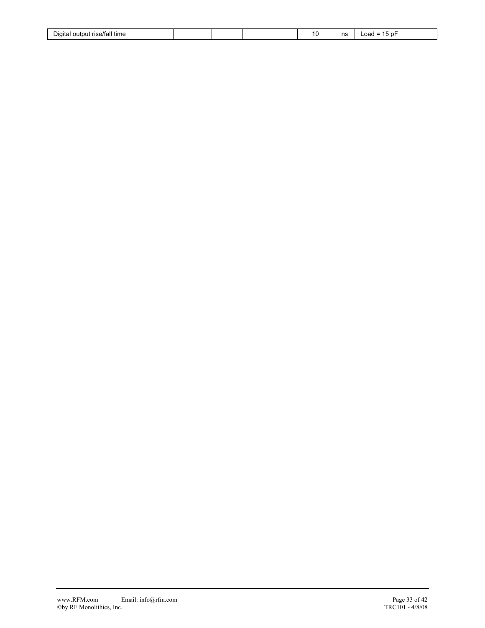| $\cdots$<br>- -<br>e/tall<br>time<br>' Jiaita<br>∩⊔tni |  |  | $\sim$ | ns | -<br>– ⊩0 د ،<br>_oad |
|--------------------------------------------------------|--|--|--------|----|-----------------------|
|                                                        |  |  |        |    |                       |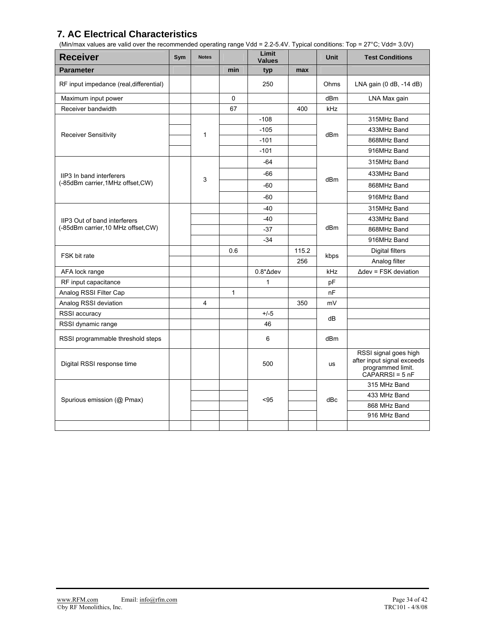## **7. AC Electrical Characteristics**

(Min/max values are valid over the recommended operating range Vdd = 2.2-5.4V. Typical conditions: Top = 27°C; Vdd= 3.0V)

| <b>Receiver</b>                         | Sym | <b>Notes</b> |     | Limit<br><b>Values</b> |       | <b>Unit</b>     | <b>Test Conditions</b>                                                                        |
|-----------------------------------------|-----|--------------|-----|------------------------|-------|-----------------|-----------------------------------------------------------------------------------------------|
| <b>Parameter</b>                        |     |              | min | typ                    | max   |                 |                                                                                               |
| RF input impedance (real, differential) |     |              |     | 250                    |       | Ohms            | LNA gain (0 dB, -14 dB)                                                                       |
| Maximum input power                     |     |              | 0   |                        |       | dBm             | LNA Max gain                                                                                  |
| Receiver bandwidth                      |     |              | 67  |                        | 400   | kHz             |                                                                                               |
|                                         |     |              |     | $-108$                 |       |                 | 315MHz Band                                                                                   |
| <b>Receiver Sensitivity</b>             |     | $\mathbf{1}$ |     | $-105$                 |       | dBm             | 433MHz Band                                                                                   |
|                                         |     |              |     | $-101$                 |       |                 | 868MHz Band                                                                                   |
|                                         |     |              |     | $-101$                 |       |                 | 916MHz Band                                                                                   |
|                                         |     |              |     | $-64$                  |       |                 | 315MHz Band                                                                                   |
| IIP3 In band interferers                |     | 3            |     | $-66$                  |       | dBm             | 433MHz Band                                                                                   |
| (-85dBm carrier, 1MHz offset, CW)       |     |              |     | -60                    |       |                 | 868MHz Band                                                                                   |
|                                         |     |              |     | $-60$                  |       |                 | 916MHz Band                                                                                   |
|                                         |     |              |     | $-40$                  |       |                 | 315MHz Band                                                                                   |
| IIP3 Out of band interferers            |     |              |     | $-40$                  |       |                 | 433MHz Band                                                                                   |
| (-85dBm carrier, 10 MHz offset, CW)     |     |              |     | $-37$                  |       | dBm             | 868MHz Band                                                                                   |
|                                         |     |              |     | $-34$                  |       |                 | 916MHz Band                                                                                   |
| FSK bit rate                            |     |              | 0.6 |                        | 115.2 |                 | Digital filters                                                                               |
|                                         |     |              |     |                        | 256   | kbps            | Analog filter                                                                                 |
| AFA lock range                          |     |              |     | $0.8^* \Delta$ dev     |       | kHz             | $\Delta$ dev = FSK deviation                                                                  |
| RF input capacitance                    |     |              |     | $\mathbf{1}$           |       | рF              |                                                                                               |
| Analog RSSI Filter Cap                  |     |              | 1   |                        |       | nF              |                                                                                               |
| Analog RSSI deviation                   |     | 4            |     |                        | 350   | mV              |                                                                                               |
| RSSI accuracy                           |     |              |     | $+/-5$                 |       | dB              |                                                                                               |
| RSSI dynamic range                      |     |              |     | 46                     |       |                 |                                                                                               |
| RSSI programmable threshold steps       |     |              |     | 6                      |       | dB <sub>m</sub> |                                                                                               |
| Digital RSSI response time              |     |              |     | 500                    |       | <b>us</b>       | RSSI signal goes high<br>after input signal exceeds<br>programmed limit.<br>$CAPARRSI = 5 nF$ |
|                                         |     |              |     |                        |       |                 | 315 MHz Band                                                                                  |
| Spurious emission (@ Pmax)              |     |              |     | < 95                   |       | dBc             | 433 MHz Band                                                                                  |
|                                         |     |              |     |                        |       |                 | 868 MHz Band                                                                                  |
|                                         |     |              |     |                        |       |                 | 916 MHz Band                                                                                  |
|                                         |     |              |     |                        |       |                 |                                                                                               |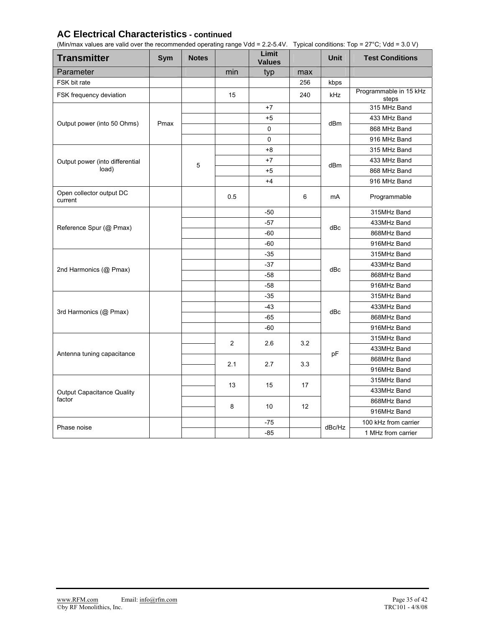## **AC Electrical Characteristics - continued**

(Min/max values are valid over the recommended operating range Vdd = 2.2-5.4V. Typical conditions: Top = 27°C; Vdd = 3.0 V)

| <b>Transmitter</b>                  | Sym  | <b>Notes</b> |                  | Limit<br><b>Values</b> |     | <b>Unit</b> | <b>Test Conditions</b>          |
|-------------------------------------|------|--------------|------------------|------------------------|-----|-------------|---------------------------------|
| Parameter                           |      |              | min              | typ                    | max |             |                                 |
| FSK bit rate                        |      |              |                  |                        | 256 | kbps        |                                 |
| FSK frequency deviation             |      |              | 15               |                        | 240 | kHz         | Programmable in 15 kHz<br>steps |
|                                     |      |              |                  | $+7$                   |     |             | 315 MHz Band                    |
| Output power (into 50 Ohms)         | Pmax |              |                  | $+5$                   |     | dBm         | 433 MHz Band                    |
|                                     |      |              |                  | $\mathbf 0$            |     |             | 868 MHz Band                    |
|                                     |      |              |                  | $\mathbf 0$            |     |             | 916 MHz Band                    |
|                                     |      |              |                  | $+8$                   |     |             | 315 MHz Band                    |
| Output power (into differential     |      | 5            |                  | $+7$                   |     | dBm         | 433 MHz Band                    |
| load)                               |      |              |                  | $+5$                   |     |             | 868 MHz Band                    |
|                                     |      |              |                  | $+4$                   |     |             | 916 MHz Band                    |
| Open collector output DC<br>current |      |              | 0.5              |                        | 6   | mA          | Programmable                    |
|                                     |      |              |                  | $-50$                  |     |             | 315MHz Band                     |
| Reference Spur (@ Pmax)             |      |              |                  | $-57$                  |     | dBc         | 433MHz Band                     |
|                                     |      |              |                  | $-60$                  |     |             | 868MHz Band                     |
|                                     |      |              |                  | $-60$                  |     |             | 916MHz Band                     |
|                                     |      |              |                  | $-35$                  |     |             | 315MHz Band                     |
| 2nd Harmonics (@ Pmax)              |      |              |                  | $-37$                  |     | dBc         | 433MHz Band                     |
|                                     |      |              |                  | $-58$                  |     |             | 868MHz Band                     |
|                                     |      |              |                  | $-58$                  |     |             | 916MHz Band                     |
|                                     |      |              |                  | $-35$                  |     |             | 315MHz Band                     |
| 3rd Harmonics (@ Pmax)              |      |              |                  | $-43$                  |     | dBc         | 433MHz Band                     |
|                                     |      |              |                  | -65                    |     |             | 868MHz Band                     |
|                                     |      |              |                  | $-60$                  |     |             | 916MHz Band                     |
|                                     |      |              | $\boldsymbol{2}$ | 2.6                    | 3.2 |             | 315MHz Band                     |
| Antenna tuning capacitance          |      |              |                  |                        |     | pF          | 433MHz Band                     |
|                                     |      |              | 2.1              | 2.7                    | 3.3 |             | 868MHz Band                     |
|                                     |      |              |                  |                        |     |             | 916MHz Band                     |
|                                     |      |              | 13               | 15                     | 17  |             | 315MHz Band                     |
| <b>Output Capacitance Quality</b>   |      |              |                  |                        |     |             | 433MHz Band                     |
| factor                              |      |              | 8                | 10                     | 12  |             | 868MHz Band                     |
|                                     |      |              |                  |                        |     |             | 916MHz Band                     |
| Phase noise                         |      |              |                  | $-75$                  |     | dBc/Hz      | 100 kHz from carrier            |
|                                     |      |              |                  | $-85$                  |     |             | 1 MHz from carrier              |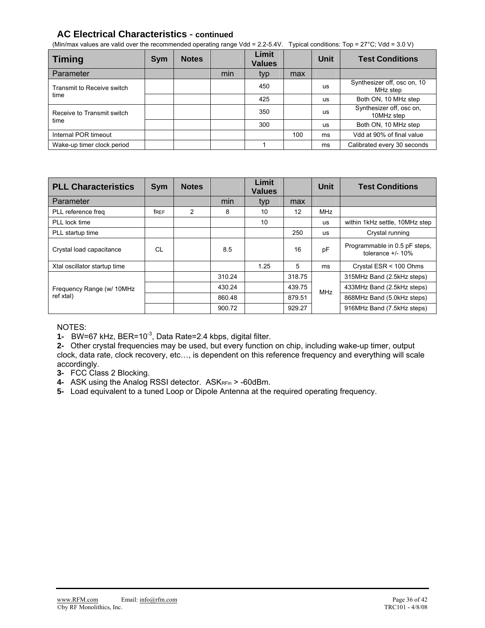## **AC Electrical Characteristics** - **continued**

(Min/max values are valid over the recommended operating range Vdd = 2.2-5.4V. Typical conditions: Top =  $27^{\circ}$ C; Vdd = 3.0 V)

| <b>Timing</b>              | <b>Sym</b> | <b>Notes</b> |     | Limit<br><b>Values</b> |     | Unit      | <b>Test Conditions</b>                  |
|----------------------------|------------|--------------|-----|------------------------|-----|-----------|-----------------------------------------|
| Parameter                  |            |              | min | typ                    | max |           |                                         |
| Transmit to Receive switch |            |              |     | 450                    |     | us        | Synthesizer off, osc on, 10<br>MHz step |
| time                       |            |              |     | 425                    |     | us        | Both ON, 10 MHz step                    |
| Receive to Transmit switch |            |              |     | 350                    |     | us        | Synthesizer off, osc on,<br>10MHz step  |
| time                       |            |              |     | 300                    |     | <b>US</b> | Both ON, 10 MHz step                    |
| Internal POR timeout       |            |              |     |                        | 100 | ms        | Vdd at 90% of final value               |
| Wake-up timer clock period |            |              |     |                        |     | ms        | Calibrated every 30 seconds             |

| <b>PLL Characteristics</b>   | Sym  | <b>Notes</b>   |        | Limit<br><b>Values</b> |        | Unit       | <b>Test Conditions</b>                                |
|------------------------------|------|----------------|--------|------------------------|--------|------------|-------------------------------------------------------|
| Parameter                    |      |                | min    | typ                    | max    |            |                                                       |
| PLL reference freq           | free | $\overline{2}$ | 8      | 10                     | 12     | <b>MHz</b> |                                                       |
| PLL lock time                |      |                |        | 10                     |        | <b>US</b>  | within 1kHz settle, 10MHz step                        |
| PLL startup time             |      |                |        |                        | 250    | <b>US</b>  | Crystal running                                       |
| Crystal load capacitance     | CL   |                | 8.5    |                        | 16     | pF         | Programmable in 0.5 pF steps,<br>tolerance $+/$ - 10% |
| Xtal oscillator startup time |      |                |        | 1.25                   | 5      | ms         | Crystal ESR < 100 Ohms                                |
|                              |      |                | 310.24 |                        | 318.75 |            | 315MHz Band (2.5kHz steps)                            |
| Frequency Range (w/ 10MHz    |      |                | 430.24 |                        | 439.75 | <b>MHz</b> | 433MHz Band (2.5kHz steps)                            |
| ref xtal)                    |      |                | 860.48 |                        | 879.51 |            | 868MHz Band (5.0kHz steps)                            |
|                              |      |                | 900.72 |                        | 929.27 |            | 916MHz Band (7.5kHz steps)                            |

NOTES:

**1-** BW=67 kHz, BER=10-3, Data Rate=2.4 kbps, digital filter.

**2-** Other crystal frequencies may be used, but every function on chip, including wake-up timer, output clock, data rate, clock recovery, etc…, is dependent on this reference frequency and everything will scale accordingly.

**3-** FCC Class 2 Blocking.

**4-** ASK using the Analog RSSI detector. ASKRFin > -60dBm.

**5-** Load equivalent to a tuned Loop or Dipole Antenna at the required operating frequency.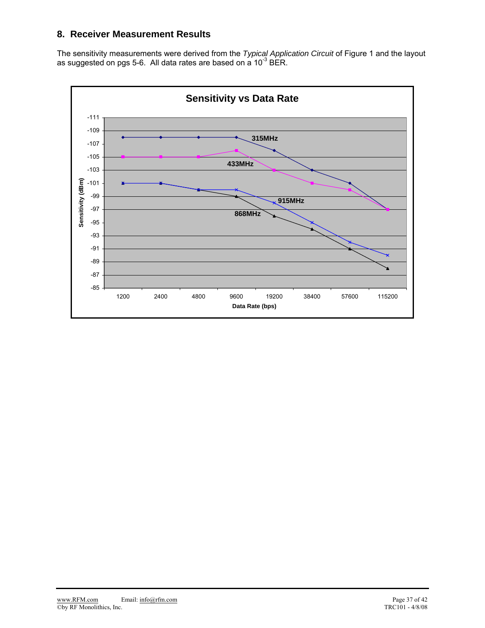## **8. Receiver Measurement Results**

The sensitivity measurements were derived from the *Typical Application Circuit* of Figure 1 and the layout as suggested on pgs 5-6. All data rates are based on a 10<sup>-3</sup> BER.

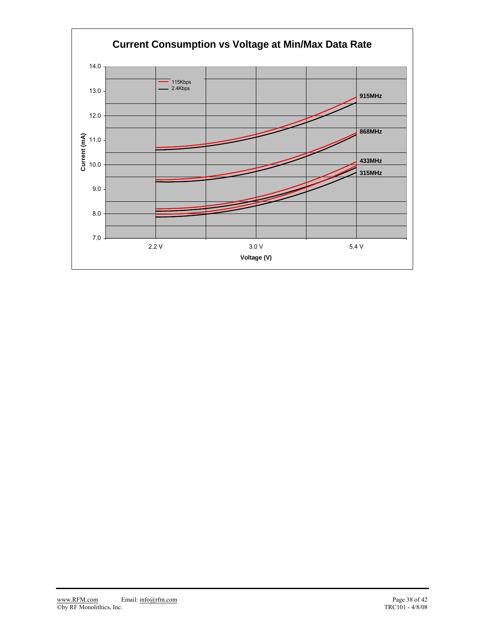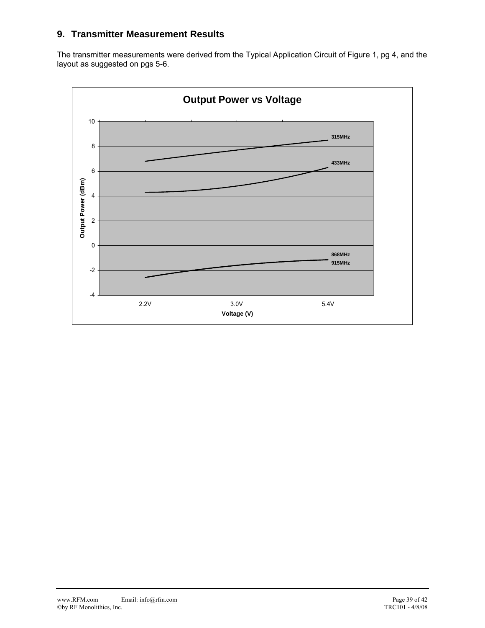## **9. Transmitter Measurement Results**

The transmitter measurements were derived from the Typical Application Circuit of Figure 1, pg 4, and the layout as suggested on pgs 5-6.

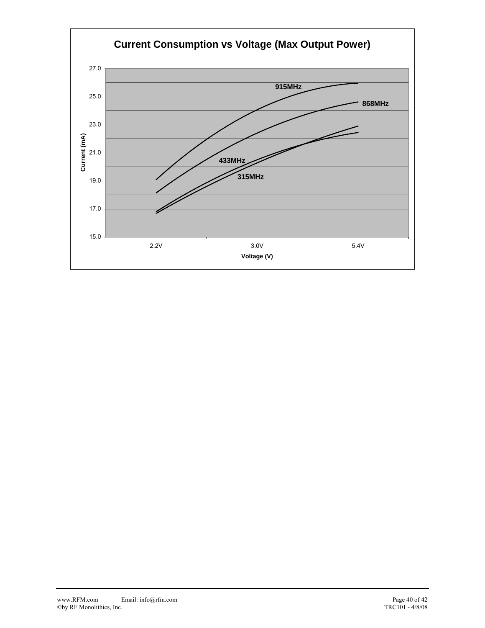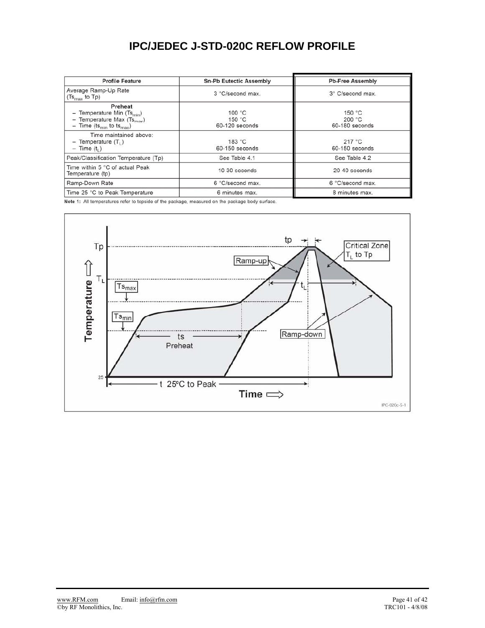# **IPC/JEDEC J-STD-020C REFLOW PROFILE**

| <b>Profile Feature</b>                                                                                                      | <b>Sn-Pb Eutectic Assembly</b>                 | <b>Pb-Free Assembly</b>              |  |  |
|-----------------------------------------------------------------------------------------------------------------------------|------------------------------------------------|--------------------------------------|--|--|
| Average Ramp-Up Rate<br>$(Ts_{\text{max}}$ to Tp)                                                                           | 3 °C/second max.                               | 3° C/second max.                     |  |  |
| Preheat<br>Temperature Min $(Ts_{min})$<br>Temperature Max $(Ts_{max})$<br>- Time (ts <sub>min</sub> to ts <sub>max</sub> ) | 100 $^{\circ}$ C<br>150 $°C$<br>60-120 seconds | 150 $°C$<br>200 °C<br>60-180 seconds |  |  |
| Time maintained above:<br>Temperature $(T_1)$<br>$-$ Time $(t_1)$                                                           | 183 $°C$<br>60-150 seconds                     | 217 °C<br>60-150 seconds             |  |  |
| Peak/Classification Temperature (Tp)                                                                                        | See Table 4.1                                  | See Table 4.2                        |  |  |
| Time within 5 °C of actual Peak<br>Temperature (tp)                                                                         | 10-30 seconds                                  | 20-40 seconds                        |  |  |
| Ramp-Down Rate                                                                                                              | 6 °C/second max.                               | 6 °C/second max.                     |  |  |
| Time 25 °C to Peak Temperature                                                                                              | 6 minutes max.                                 | 8 minutes max.                       |  |  |

Note 1: All temperatures refer to topside of the package, measured on the package body surface.